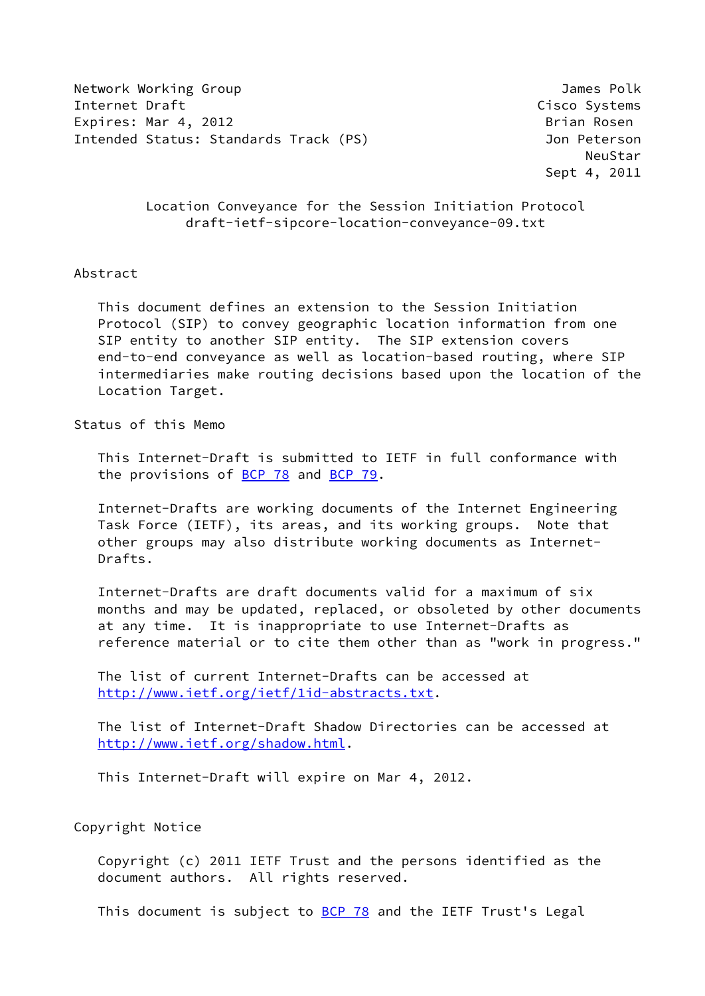Network Working Group James Polk **Internet Draft** Cisco Systems **Cisco Systems** Expires: Mar 4, 2012 **Brian Rosen** Brian Rosen Intended Status: Standards Track (PS) Jon Peterson

**NeuStar** Research Contract Contract Contract Contract Contract Contract Contract Contract Contract Contract Contract Contract Contract Contract Contract Contract Contract Contract Contract Contract Contract Contract Contr Sept 4, 2011

## Location Conveyance for the Session Initiation Protocol draft-ietf-sipcore-location-conveyance-09.txt

### Abstract

 This document defines an extension to the Session Initiation Protocol (SIP) to convey geographic location information from one SIP entity to another SIP entity. The SIP extension covers end-to-end conveyance as well as location-based routing, where SIP intermediaries make routing decisions based upon the location of the Location Target.

#### Status of this Memo

 This Internet-Draft is submitted to IETF in full conformance with the provisions of  $BCP$  78 and  $BCP$  79.

 Internet-Drafts are working documents of the Internet Engineering Task Force (IETF), its areas, and its working groups. Note that other groups may also distribute working documents as Internet- Drafts.

 Internet-Drafts are draft documents valid for a maximum of six months and may be updated, replaced, or obsoleted by other documents at any time. It is inappropriate to use Internet-Drafts as reference material or to cite them other than as "work in progress."

 The list of current Internet-Drafts can be accessed at <http://www.ietf.org/ietf/1id-abstracts.txt>.

 The list of Internet-Draft Shadow Directories can be accessed at <http://www.ietf.org/shadow.html>.

This Internet-Draft will expire on Mar 4, 2012.

## Copyright Notice

 Copyright (c) 2011 IETF Trust and the persons identified as the document authors. All rights reserved.

This document is subject to **[BCP 78](https://datatracker.ietf.org/doc/pdf/bcp78)** and the IETF Trust's Legal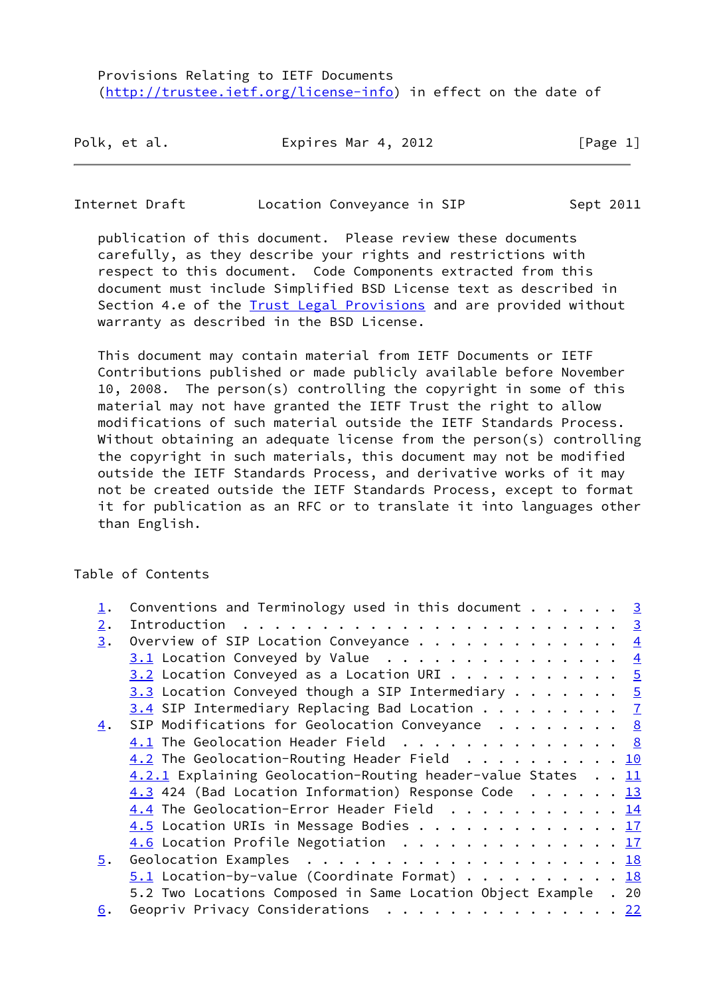Provisions Relating to IETF Documents [\(http://trustee.ietf.org/license-info](http://trustee.ietf.org/license-info)) in effect on the date of

| Polk, et al. | Expires Mar 4, 2012 | [Page 1] |
|--------------|---------------------|----------|
|--------------|---------------------|----------|

#### Internet Draft Location Conveyance in SIP Sept 2011

 publication of this document. Please review these documents carefully, as they describe your rights and restrictions with respect to this document. Code Components extracted from this document must include Simplified BSD License text as described in Section 4.e of the **[Trust Legal Provisions](https://trustee.ietf.org/license-info)** and are provided without warranty as described in the BSD License.

 This document may contain material from IETF Documents or IETF Contributions published or made publicly available before November 10, 2008. The person(s) controlling the copyright in some of this material may not have granted the IETF Trust the right to allow modifications of such material outside the IETF Standards Process. Without obtaining an adequate license from the person(s) controlling the copyright in such materials, this document may not be modified outside the IETF Standards Process, and derivative works of it may not be created outside the IETF Standards Process, except to format it for publication as an RFC or to translate it into languages other than English.

Table of Contents

|                   | Conventions and Terminology used in this document $\cdots$ 3    |  |  |  |                |
|-------------------|-----------------------------------------------------------------|--|--|--|----------------|
| $\overline{2}$ .  |                                                                 |  |  |  |                |
| 3.                | Overview of SIP Location Conveyance $\frac{4}{5}$               |  |  |  |                |
|                   | $3.1$ Location Conveyed by Value                                |  |  |  | $\overline{4}$ |
|                   | $3.2$ Location Conveyed as a Location URI 5                     |  |  |  |                |
|                   | 3.3 Location Conveyed though a SIP Intermediary $\frac{5}{9}$   |  |  |  |                |
|                   | $3.4$ SIP Intermediary Replacing Bad Location $\frac{7}{1}$     |  |  |  |                |
| 4.                | SIP Modifications for Geolocation Conveyance $\cdots$ 8         |  |  |  |                |
|                   | 4.1 The Geolocation Header Field 8                              |  |  |  |                |
|                   | $4.2$ The Geolocation-Routing Header Field 10                   |  |  |  |                |
|                   | 4.2.1 Explaining Geolocation-Routing header-value States 11     |  |  |  |                |
|                   | 4.3 424 (Bad Location Information) Response Code 13             |  |  |  |                |
|                   | 4.4 The Geolocation-Error Header Field 14                       |  |  |  |                |
|                   | 4.5 Location URIs in Message Bodies 17                          |  |  |  |                |
|                   | 4.6 Location Profile Negotiation 17                             |  |  |  |                |
| 5.                |                                                                 |  |  |  |                |
|                   | $5.1$ Location-by-value (Coordinate Format) 18                  |  |  |  |                |
|                   | 5.2 Two Locations Composed in Same Location Object Example . 20 |  |  |  |                |
| $\underline{6}$ . | Geopriv Privacy Considerations 22                               |  |  |  |                |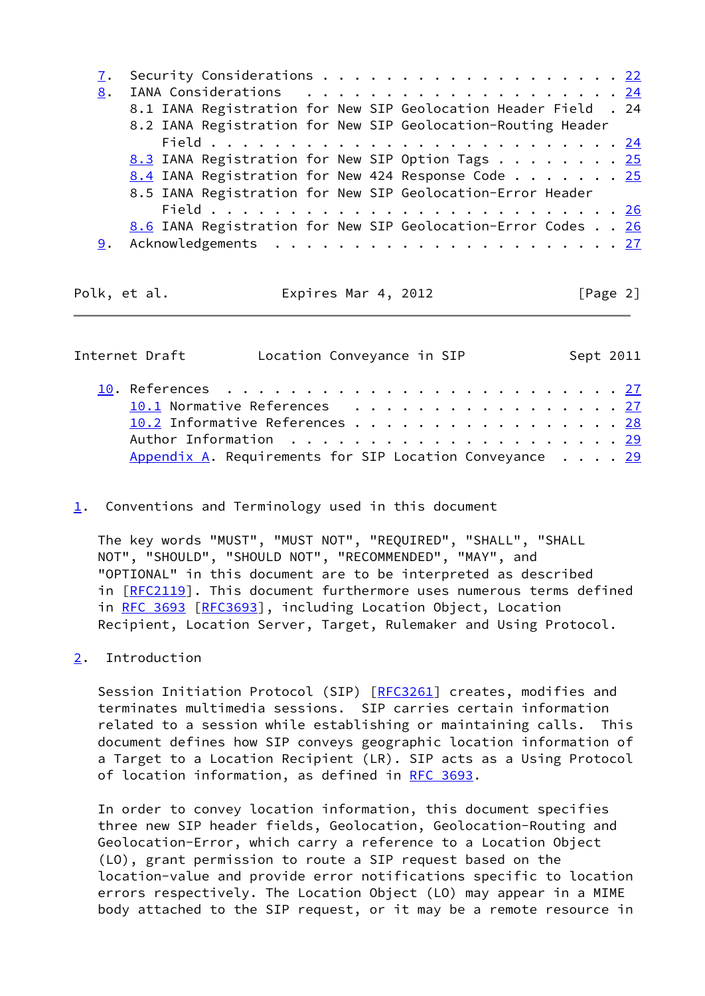|    | 7. Security Considerations 22                                   |  |
|----|-----------------------------------------------------------------|--|
| 8. |                                                                 |  |
|    | 8.1 IANA Registration for New SIP Geolocation Header Field . 24 |  |
|    | 8.2 IANA Registration for New SIP Geolocation-Routing Header    |  |
|    |                                                                 |  |
|    | 8.3 IANA Registration for New SIP Option Tags 25                |  |
|    | 8.4 IANA Registration for New 424 Response Code 25              |  |
|    | 8.5 IANA Registration for New SIP Geolocation-Error Header      |  |
|    |                                                                 |  |
|    | 8.6 IANA Registration for New SIP Geolocation-Error Codes 26    |  |
| 9. |                                                                 |  |
|    |                                                                 |  |

Polk, et al. **Expires Mar 4, 2012** [Page 2]

<span id="page-2-1"></span>

| Internet Draft                                                     | Location Conveyance in SIP |  |  |  |  |  |  |  | Sept 2011 |
|--------------------------------------------------------------------|----------------------------|--|--|--|--|--|--|--|-----------|
|                                                                    |                            |  |  |  |  |  |  |  |           |
| 10.1 Normative References 27                                       |                            |  |  |  |  |  |  |  |           |
| 10.2 Informative References 28                                     |                            |  |  |  |  |  |  |  |           |
|                                                                    |                            |  |  |  |  |  |  |  |           |
| Appendix A. Requirements for SIP Location Conveyance $\ldots$ . 29 |                            |  |  |  |  |  |  |  |           |

<span id="page-2-0"></span>[1](#page-2-0). Conventions and Terminology used in this document

 The key words "MUST", "MUST NOT", "REQUIRED", "SHALL", "SHALL NOT", "SHOULD", "SHOULD NOT", "RECOMMENDED", "MAY", and "OPTIONAL" in this document are to be interpreted as described in [[RFC2119\]](https://datatracker.ietf.org/doc/pdf/rfc2119). This document furthermore uses numerous terms defined in [RFC 3693 \[RFC3693](https://datatracker.ietf.org/doc/pdf/rfc3693)], including Location Object, Location Recipient, Location Server, Target, Rulemaker and Using Protocol.

<span id="page-2-2"></span>[2](#page-2-2). Introduction

Session Initiation Protocol (SIP) [[RFC3261](https://datatracker.ietf.org/doc/pdf/rfc3261)] creates, modifies and terminates multimedia sessions. SIP carries certain information related to a session while establishing or maintaining calls. This document defines how SIP conveys geographic location information of a Target to a Location Recipient (LR). SIP acts as a Using Protocol of location information, as defined in [RFC 3693.](https://datatracker.ietf.org/doc/pdf/rfc3693)

 In order to convey location information, this document specifies three new SIP header fields, Geolocation, Geolocation-Routing and Geolocation-Error, which carry a reference to a Location Object (LO), grant permission to route a SIP request based on the location-value and provide error notifications specific to location errors respectively. The Location Object (LO) may appear in a MIME body attached to the SIP request, or it may be a remote resource in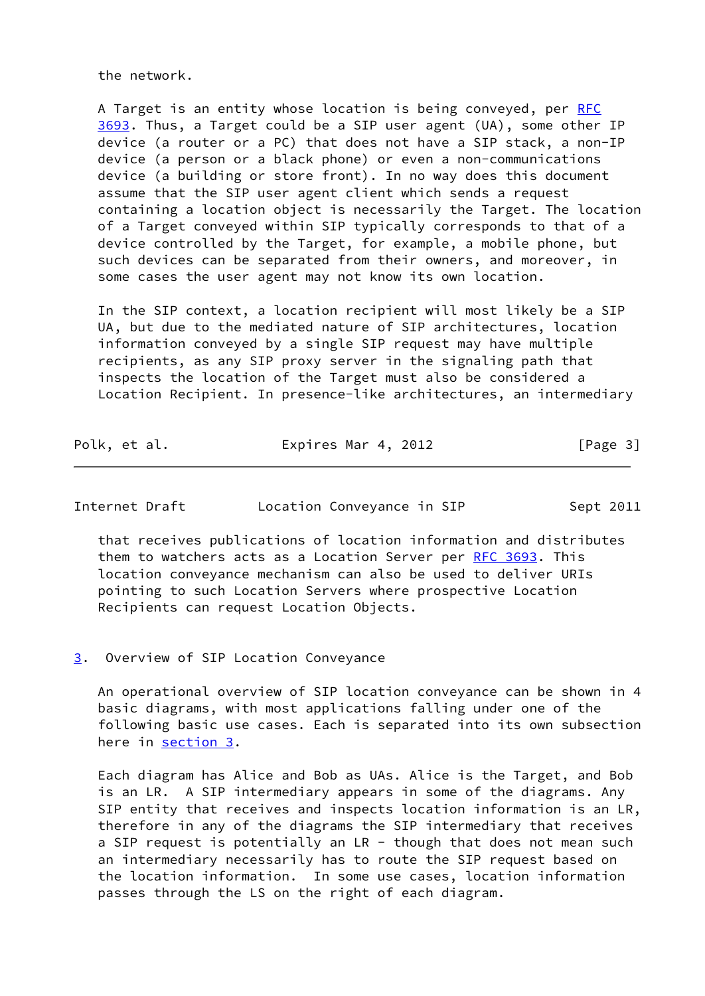the network.

 A Target is an entity whose location is being conveyed, per [RFC](https://datatracker.ietf.org/doc/pdf/rfc3693) [3693](https://datatracker.ietf.org/doc/pdf/rfc3693). Thus, a Target could be a SIP user agent (UA), some other IP device (a router or a PC) that does not have a SIP stack, a non-IP device (a person or a black phone) or even a non-communications device (a building or store front). In no way does this document assume that the SIP user agent client which sends a request containing a location object is necessarily the Target. The location of a Target conveyed within SIP typically corresponds to that of a device controlled by the Target, for example, a mobile phone, but such devices can be separated from their owners, and moreover, in some cases the user agent may not know its own location.

 In the SIP context, a location recipient will most likely be a SIP UA, but due to the mediated nature of SIP architectures, location information conveyed by a single SIP request may have multiple recipients, as any SIP proxy server in the signaling path that inspects the location of the Target must also be considered a Location Recipient. In presence-like architectures, an intermediary

| Polk, et al. | Expires Mar 4, 2012 | [Page 3] |
|--------------|---------------------|----------|
|--------------|---------------------|----------|

<span id="page-3-1"></span>

| Internet Draft |  | Location Conveyance in SIP |  | Sept 2011 |
|----------------|--|----------------------------|--|-----------|
|----------------|--|----------------------------|--|-----------|

 that receives publications of location information and distributes them to watchers acts as a Location Server per [RFC 3693.](https://datatracker.ietf.org/doc/pdf/rfc3693) This location conveyance mechanism can also be used to deliver URIs pointing to such Location Servers where prospective Location Recipients can request Location Objects.

#### <span id="page-3-0"></span>[3](#page-3-0). Overview of SIP Location Conveyance

 An operational overview of SIP location conveyance can be shown in 4 basic diagrams, with most applications falling under one of the following basic use cases. Each is separated into its own subsection here in [section 3](#page-3-0).

 Each diagram has Alice and Bob as UAs. Alice is the Target, and Bob is an LR. A SIP intermediary appears in some of the diagrams. Any SIP entity that receives and inspects location information is an LR, therefore in any of the diagrams the SIP intermediary that receives a SIP request is potentially an LR - though that does not mean such an intermediary necessarily has to route the SIP request based on the location information. In some use cases, location information passes through the LS on the right of each diagram.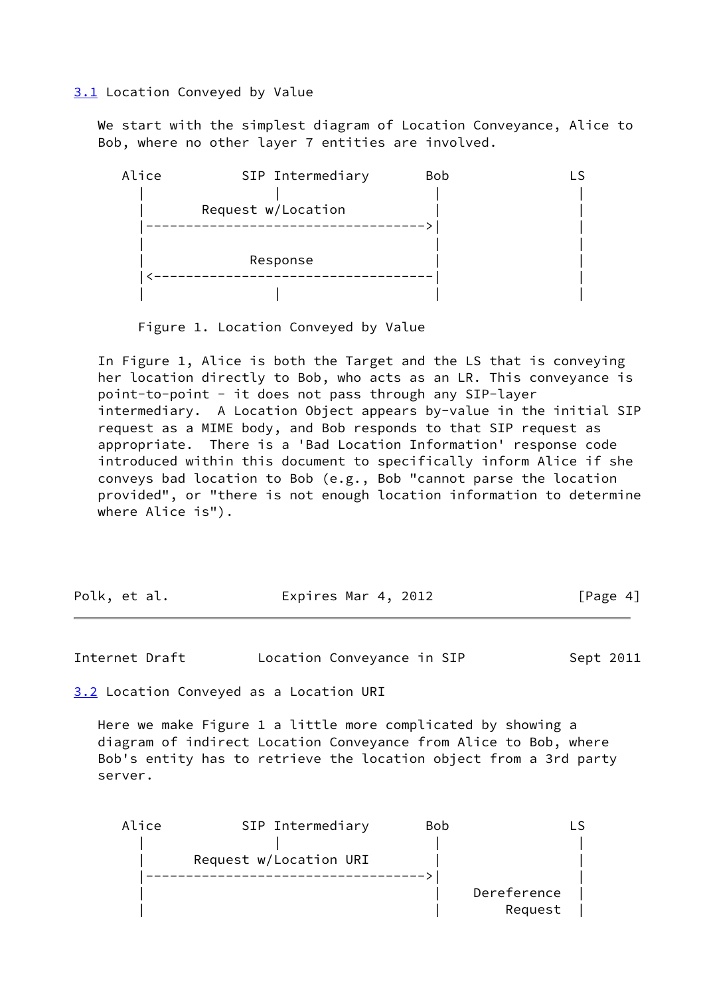<span id="page-4-0"></span>[3.1](#page-4-0) Location Conveyed by Value

 We start with the simplest diagram of Location Conveyance, Alice to Bob, where no other layer 7 entities are involved.



Figure 1. Location Conveyed by Value

 In Figure 1, Alice is both the Target and the LS that is conveying her location directly to Bob, who acts as an LR. This conveyance is point-to-point - it does not pass through any SIP-layer intermediary. A Location Object appears by-value in the initial SIP request as a MIME body, and Bob responds to that SIP request as appropriate. There is a 'Bad Location Information' response code introduced within this document to specifically inform Alice if she conveys bad location to Bob (e.g., Bob "cannot parse the location provided", or "there is not enough location information to determine where Alice is").

| Polk, et al. | Expires Mar 4, 2012 | [Page 4] |
|--------------|---------------------|----------|
|--------------|---------------------|----------|

<span id="page-4-2"></span>Internet Draft **Location Conveyance in SIP** Sept 2011

<span id="page-4-1"></span>[3.2](#page-4-1) Location Conveyed as a Location URI

 Here we make Figure 1 a little more complicated by showing a diagram of indirect Location Conveyance from Alice to Bob, where Bob's entity has to retrieve the location object from a 3rd party server.

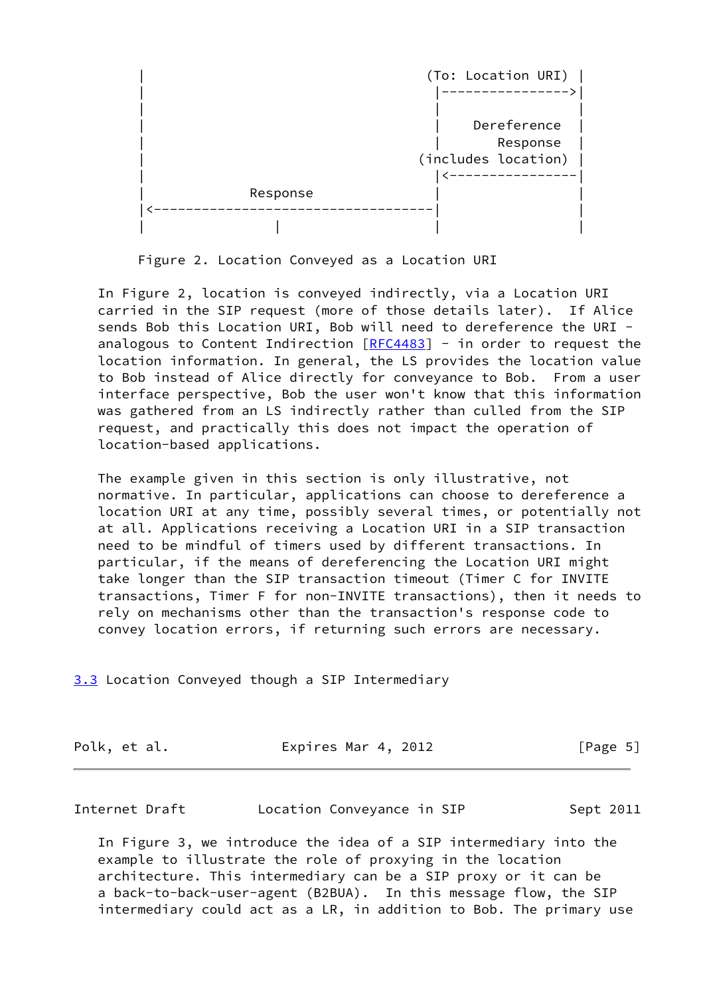

Figure 2. Location Conveyed as a Location URI

 In Figure 2, location is conveyed indirectly, via a Location URI carried in the SIP request (more of those details later). If Alice sends Bob this Location URI, Bob will need to dereference the URI analogous to Content Indirection  $[REC4483]$  - in order to request the location information. In general, the LS provides the location value to Bob instead of Alice directly for conveyance to Bob. From a user interface perspective, Bob the user won't know that this information was gathered from an LS indirectly rather than culled from the SIP request, and practically this does not impact the operation of location-based applications.

 The example given in this section is only illustrative, not normative. In particular, applications can choose to dereference a location URI at any time, possibly several times, or potentially not at all. Applications receiving a Location URI in a SIP transaction need to be mindful of timers used by different transactions. In particular, if the means of dereferencing the Location URI might take longer than the SIP transaction timeout (Timer C for INVITE transactions, Timer F for non-INVITE transactions), then it needs to rely on mechanisms other than the transaction's response code to convey location errors, if returning such errors are necessary.

<span id="page-5-0"></span>[3.3](#page-5-0) Location Conveyed though a SIP Intermediary

| Polk, et al. |  | Expires Mar 4, 2012 | [Page 5] |
|--------------|--|---------------------|----------|
|--------------|--|---------------------|----------|

| Internet Draft |  | Location Conveyance in SIP | Sept 2011 |
|----------------|--|----------------------------|-----------|
|----------------|--|----------------------------|-----------|

 In Figure 3, we introduce the idea of a SIP intermediary into the example to illustrate the role of proxying in the location architecture. This intermediary can be a SIP proxy or it can be a back-to-back-user-agent (B2BUA). In this message flow, the SIP intermediary could act as a LR, in addition to Bob. The primary use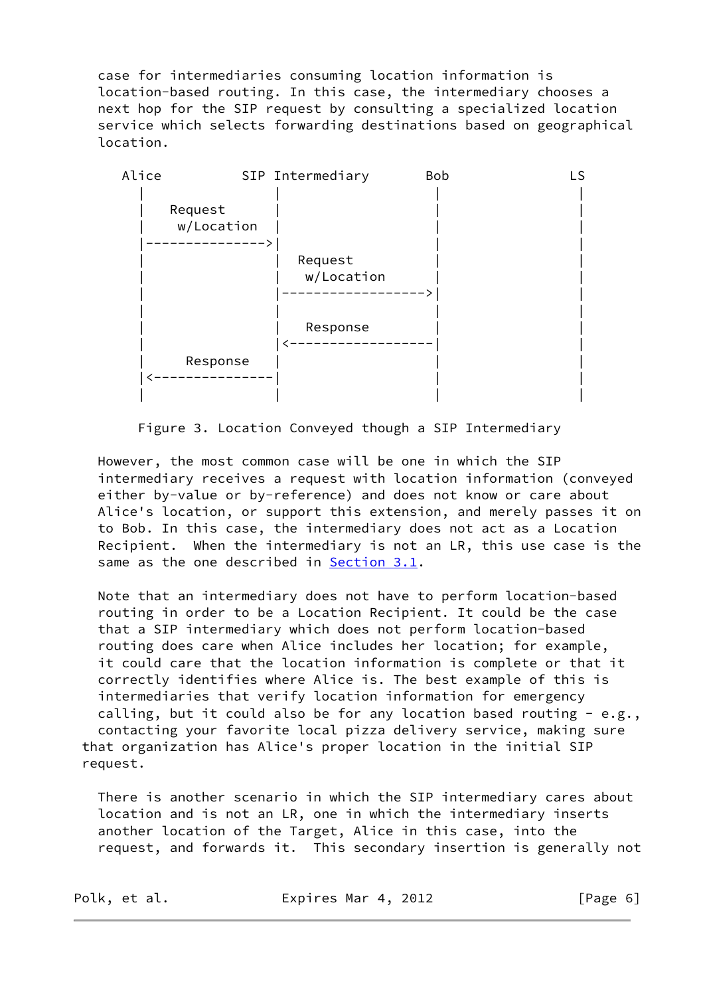case for intermediaries consuming location information is location-based routing. In this case, the intermediary chooses a next hop for the SIP request by consulting a specialized location service which selects forwarding destinations based on geographical location.



Figure 3. Location Conveyed though a SIP Intermediary

 However, the most common case will be one in which the SIP intermediary receives a request with location information (conveyed either by-value or by-reference) and does not know or care about Alice's location, or support this extension, and merely passes it on to Bob. In this case, the intermediary does not act as a Location Recipient. When the intermediary is not an LR, this use case is the same as the one described in [Section 3.1](#page-4-0).

 Note that an intermediary does not have to perform location-based routing in order to be a Location Recipient. It could be the case that a SIP intermediary which does not perform location-based routing does care when Alice includes her location; for example, it could care that the location information is complete or that it correctly identifies where Alice is. The best example of this is intermediaries that verify location information for emergency calling, but it could also be for any location based routing -  $e.g.,$  contacting your favorite local pizza delivery service, making sure that organization has Alice's proper location in the initial SIP request.

 There is another scenario in which the SIP intermediary cares about location and is not an LR, one in which the intermediary inserts another location of the Target, Alice in this case, into the request, and forwards it. This secondary insertion is generally not

| Polk, et al. |  |  |  |
|--------------|--|--|--|
|--------------|--|--|--|

Expires Mar 4, 2012 [Page 6]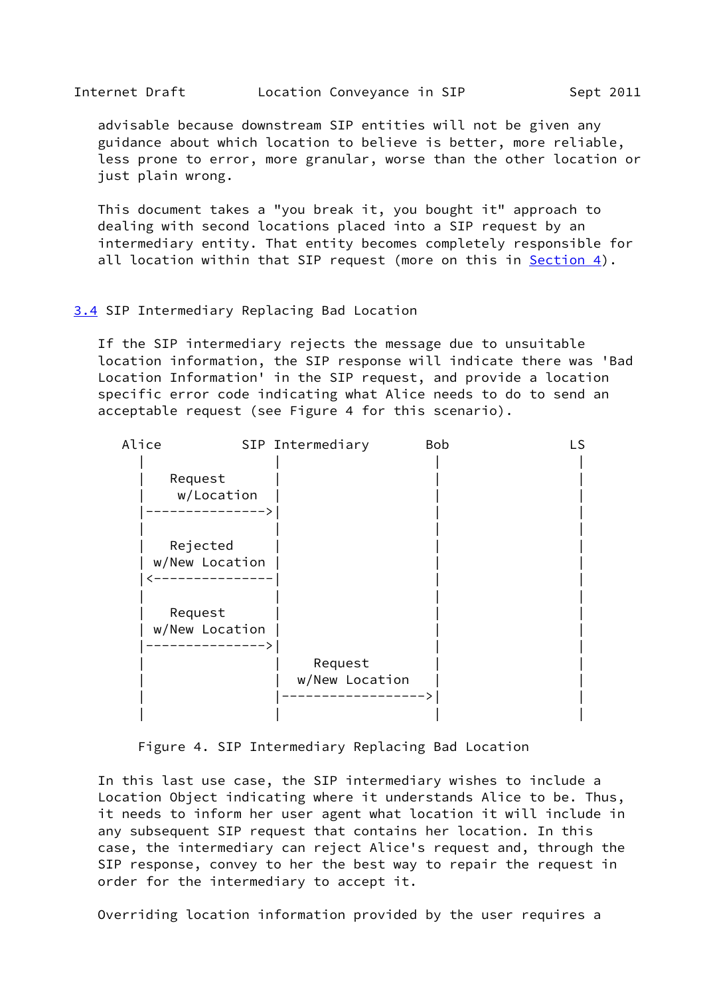<span id="page-7-1"></span> advisable because downstream SIP entities will not be given any guidance about which location to believe is better, more reliable, less prone to error, more granular, worse than the other location or just plain wrong.

 This document takes a "you break it, you bought it" approach to dealing with second locations placed into a SIP request by an intermediary entity. That entity becomes completely responsible for all location within that SIP request (more on this in  $Section 4$ ).

#### <span id="page-7-0"></span>[3.4](#page-7-0) SIP Intermediary Replacing Bad Location

 If the SIP intermediary rejects the message due to unsuitable location information, the SIP response will indicate there was 'Bad Location Information' in the SIP request, and provide a location specific error code indicating what Alice needs to do to send an acceptable request (see Figure 4 for this scenario).

| Alice    | SIP Intermediary |                | <b>Bob</b> | LS |
|----------|------------------|----------------|------------|----|
|          |                  |                |            |    |
| Request  |                  |                |            |    |
|          | w/Location       |                |            |    |
|          |                  |                |            |    |
|          |                  |                |            |    |
| Rejected |                  |                |            |    |
|          | w/New Location   |                |            |    |
|          |                  |                |            |    |
|          |                  |                |            |    |
| Request  |                  |                |            |    |
|          | w/New Location   |                |            |    |
|          |                  |                |            |    |
|          |                  | Request        |            |    |
|          |                  | w/New Location |            |    |
|          |                  |                |            |    |
|          |                  |                |            |    |

Figure 4. SIP Intermediary Replacing Bad Location

 In this last use case, the SIP intermediary wishes to include a Location Object indicating where it understands Alice to be. Thus, it needs to inform her user agent what location it will include in any subsequent SIP request that contains her location. In this case, the intermediary can reject Alice's request and, through the SIP response, convey to her the best way to repair the request in order for the intermediary to accept it.

Overriding location information provided by the user requires a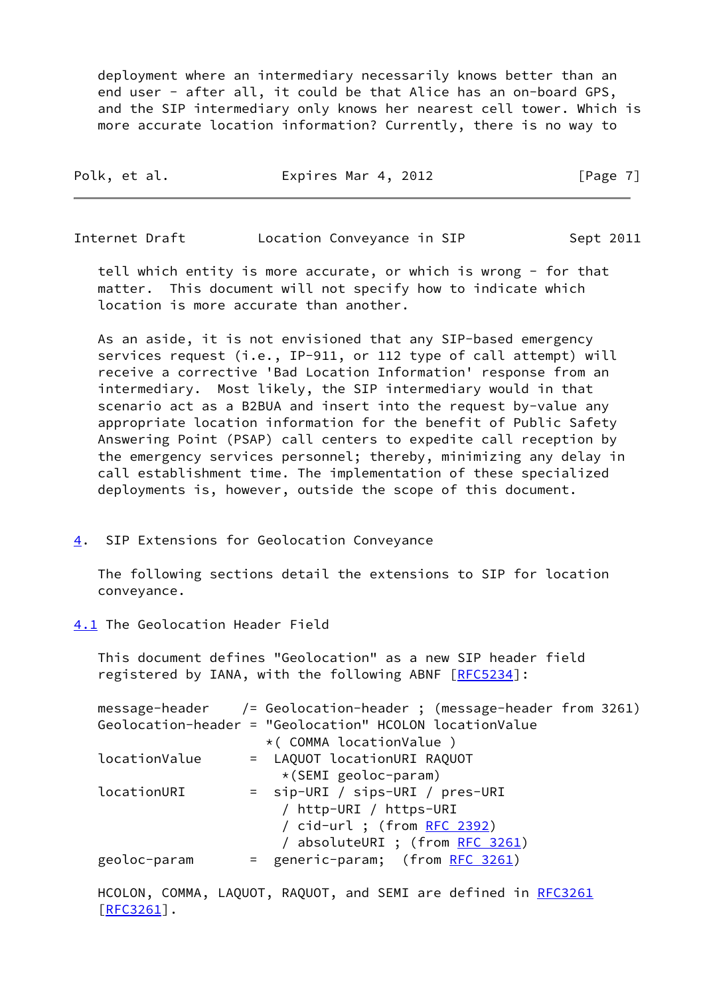deployment where an intermediary necessarily knows better than an end user - after all, it could be that Alice has an on-board GPS, and the SIP intermediary only knows her nearest cell tower. Which is more accurate location information? Currently, there is no way to

| Polk, et al. | Expires Mar 4, 2012 | [Page 7] |
|--------------|---------------------|----------|
|              |                     |          |

<span id="page-8-1"></span>Internet Draft **Location Conveyance in SIP** Sept 2011

 tell which entity is more accurate, or which is wrong - for that matter. This document will not specify how to indicate which location is more accurate than another.

 As an aside, it is not envisioned that any SIP-based emergency services request (i.e., IP-911, or 112 type of call attempt) will receive a corrective 'Bad Location Information' response from an intermediary. Most likely, the SIP intermediary would in that scenario act as a B2BUA and insert into the request by-value any appropriate location information for the benefit of Public Safety Answering Point (PSAP) call centers to expedite call reception by the emergency services personnel; thereby, minimizing any delay in call establishment time. The implementation of these specialized deployments is, however, outside the scope of this document.

<span id="page-8-0"></span>[4](#page-8-0). SIP Extensions for Geolocation Conveyance

 The following sections detail the extensions to SIP for location conveyance.

<span id="page-8-2"></span>[4.1](#page-8-2) The Geolocation Header Field

 This document defines "Geolocation" as a new SIP header field registered by IANA, with the following ABNF [\[RFC5234](https://datatracker.ietf.org/doc/pdf/rfc5234)]:

|               | message-header /= Geolocation-header; (message-header from 3261) |
|---------------|------------------------------------------------------------------|
|               | Geolocation-header = "Geolocation" HCOLON locationValue          |
|               | * (COMMA locationValue)                                          |
| locationValue | = LAQUOT locationURI RAQUOT                                      |
|               | $\star$ (SEMI geoloc-param)                                      |
| locationURI   | = sip-URI / sips-URI / pres-URI                                  |
|               | / http-URI / https-URI                                           |
|               | / cid-url ; (from RFC 2392)                                      |
|               | / absoluteURI ; (from RFC 3261)                                  |
| geoloc-param  | = generic-param; (from RFC 3261)                                 |
|               |                                                                  |

HCOLON, COMMA, LAQUOT, RAQUOT, and SEMI are defined in [RFC3261](https://datatracker.ietf.org/doc/pdf/rfc3261) [\[RFC3261](https://datatracker.ietf.org/doc/pdf/rfc3261)].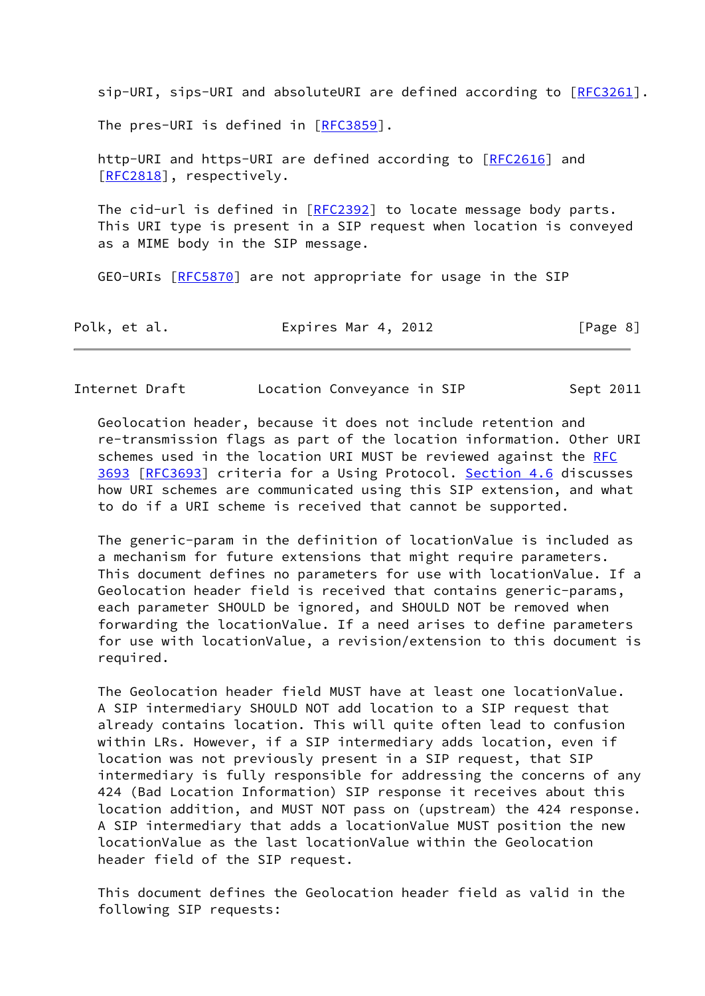sip-URI, sips-URI and absoluteURI are defined according to  $[REC3261]$ . The pres-URI is defined in [[RFC3859\]](https://datatracker.ietf.org/doc/pdf/rfc3859).

 http-URI and https-URI are defined according to [\[RFC2616](https://datatracker.ietf.org/doc/pdf/rfc2616)] and [\[RFC2818](https://datatracker.ietf.org/doc/pdf/rfc2818)], respectively.

The cid-url is defined in  $[REC2392]$  to locate message body parts. This URI type is present in a SIP request when location is conveyed as a MIME body in the SIP message.

GEO-URIs [\[RFC5870](https://datatracker.ietf.org/doc/pdf/rfc5870)] are not appropriate for usage in the SIP

| Polk, et al. | Expires Mar 4, 2012 | [Page 8] |
|--------------|---------------------|----------|
|--------------|---------------------|----------|

Internet Draft Location Conveyance in SIP Sept 2011

 Geolocation header, because it does not include retention and re-transmission flags as part of the location information. Other URI schemes used in the location URI MUST be reviewed against the [RFC](https://datatracker.ietf.org/doc/pdf/rfc3693) [3693](https://datatracker.ietf.org/doc/pdf/rfc3693) [\[RFC3693](https://datatracker.ietf.org/doc/pdf/rfc3693)] criteria for a Using Protocol. [Section 4.6](#page-19-1) discusses how URI schemes are communicated using this SIP extension, and what to do if a URI scheme is received that cannot be supported.

 The generic-param in the definition of locationValue is included as a mechanism for future extensions that might require parameters. This document defines no parameters for use with locationValue. If a Geolocation header field is received that contains generic-params, each parameter SHOULD be ignored, and SHOULD NOT be removed when forwarding the locationValue. If a need arises to define parameters for use with locationValue, a revision/extension to this document is required.

 The Geolocation header field MUST have at least one locationValue. A SIP intermediary SHOULD NOT add location to a SIP request that already contains location. This will quite often lead to confusion within LRs. However, if a SIP intermediary adds location, even if location was not previously present in a SIP request, that SIP intermediary is fully responsible for addressing the concerns of any 424 (Bad Location Information) SIP response it receives about this location addition, and MUST NOT pass on (upstream) the 424 response. A SIP intermediary that adds a locationValue MUST position the new locationValue as the last locationValue within the Geolocation header field of the SIP request.

 This document defines the Geolocation header field as valid in the following SIP requests: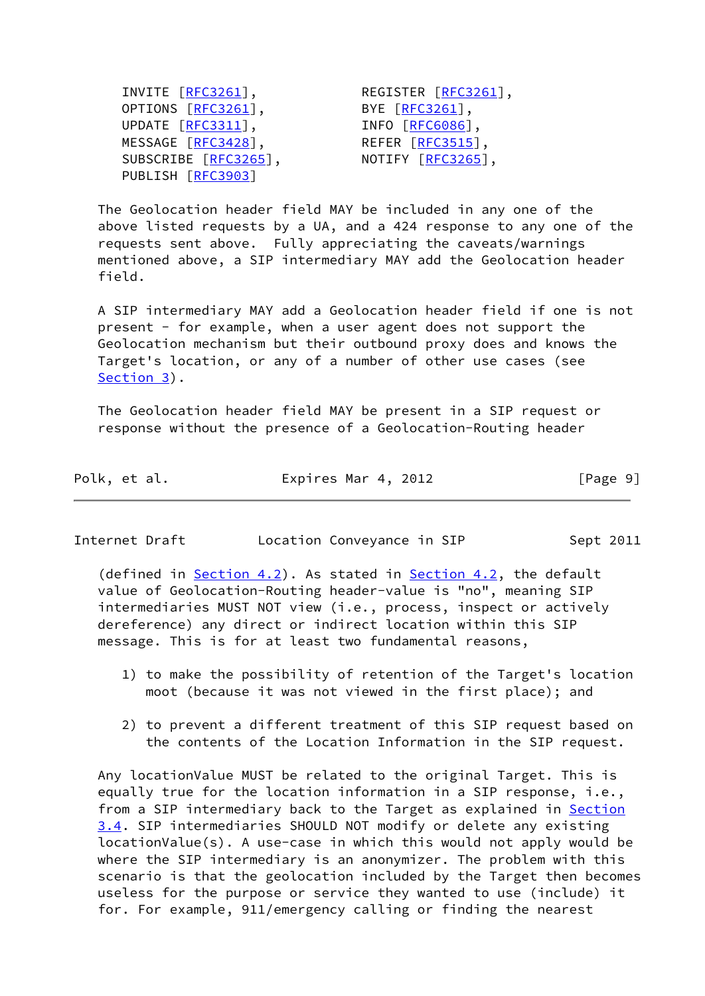INVITE [<u>[RFC3261](https://datatracker.ietf.org/doc/pdf/rfc3261)</u>],<br>
OPTIONS [<u>RFC3261</u>],<br>
UPDATE [<u>RFC3311</u>],<br>
INFO [<u>RFC6086],</u><br>
MESSAGE [RFC3428],<br>
REFER [RFC3515], OPTIONS  $\overline{[RFC3261]}$  $\overline{[RFC3261]}$  $\overline{[RFC3261]}$ , UPDATE [[RFC3311](https://datatracker.ietf.org/doc/pdf/rfc3311)], MESSAGE [[RFC3428\]](https://datatracker.ietf.org/doc/pdf/rfc3428), SUBSCRIBE [\[RFC3265](https://datatracker.ietf.org/doc/pdf/rfc3265)], NOTIFY [RFC3265], PUBLISH [[RFC3903\]](https://datatracker.ietf.org/doc/pdf/rfc3903)

 The Geolocation header field MAY be included in any one of the above listed requests by a UA, and a 424 response to any one of the requests sent above. Fully appreciating the caveats/warnings mentioned above, a SIP intermediary MAY add the Geolocation header field.

 A SIP intermediary MAY add a Geolocation header field if one is not present - for example, when a user agent does not support the Geolocation mechanism but their outbound proxy does and knows the Target's location, or any of a number of other use cases (see [Section 3](#page-3-0)).

 The Geolocation header field MAY be present in a SIP request or response without the presence of a Geolocation-Routing header

| Polk, et al. | Expires Mar 4, 2012 | [Page 9] |
|--------------|---------------------|----------|
|--------------|---------------------|----------|

<span id="page-10-0"></span>Internet Draft **Location Conveyance in SIP** Sept 2011

(defined in [Section 4.2\)](#page-11-0). As stated in [Section 4.2](#page-11-0), the default value of Geolocation-Routing header-value is "no", meaning SIP intermediaries MUST NOT view (i.e., process, inspect or actively dereference) any direct or indirect location within this SIP message. This is for at least two fundamental reasons,

- 1) to make the possibility of retention of the Target's location moot (because it was not viewed in the first place); and
- 2) to prevent a different treatment of this SIP request based on the contents of the Location Information in the SIP request.

 Any locationValue MUST be related to the original Target. This is equally true for the location information in a SIP response, i.e., from a SIP intermediary back to the Target as explained in **[Section](#page-7-0)**  [3.4](#page-7-0). SIP intermediaries SHOULD NOT modify or delete any existing locationValue(s). A use-case in which this would not apply would be where the SIP intermediary is an anonymizer. The problem with this scenario is that the geolocation included by the Target then becomes useless for the purpose or service they wanted to use (include) it for. For example, 911/emergency calling or finding the nearest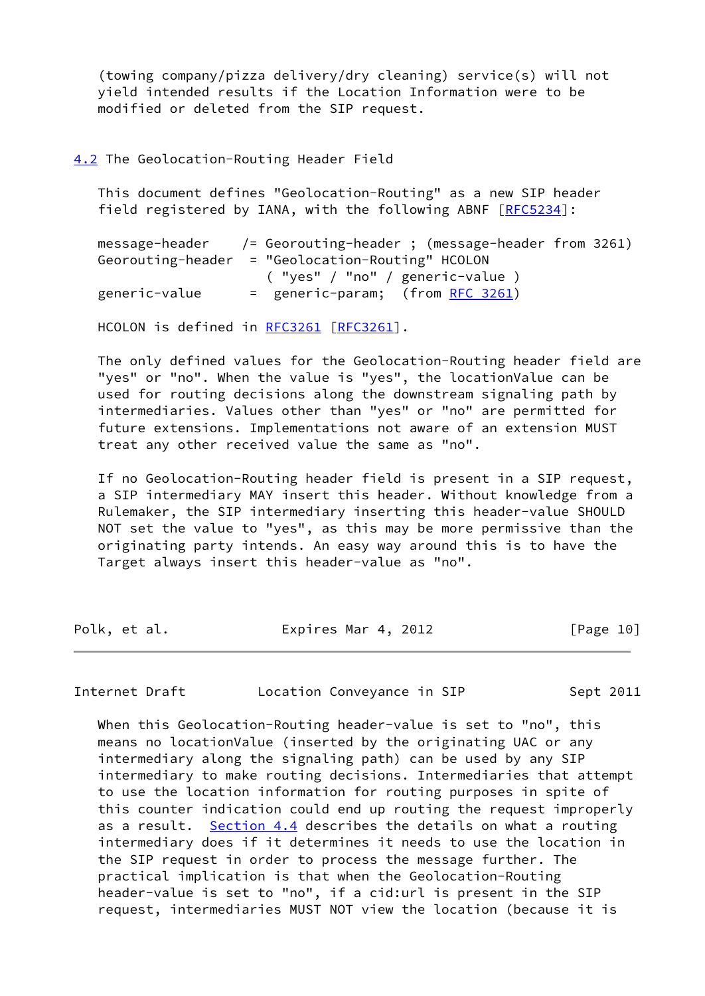(towing company/pizza delivery/dry cleaning) service(s) will not yield intended results if the Location Information were to be modified or deleted from the SIP request.

<span id="page-11-0"></span>[4.2](#page-11-0) The Geolocation-Routing Header Field

 This document defines "Geolocation-Routing" as a new SIP header field registered by IANA, with the following ABNF [[RFC5234](https://datatracker.ietf.org/doc/pdf/rfc5234)]:

 message-header /= Georouting-header ; (message-header from 3261) Georouting-header = "Geolocation-Routing" HCOLON ( "yes" / "no" / generic-value ) generic-value = generic-param; (from [RFC 3261\)](https://datatracker.ietf.org/doc/pdf/rfc3261)

HCOLON is defined in [RFC3261](https://datatracker.ietf.org/doc/pdf/rfc3261) [\[RFC3261](https://datatracker.ietf.org/doc/pdf/rfc3261)].

 The only defined values for the Geolocation-Routing header field are "yes" or "no". When the value is "yes", the locationValue can be used for routing decisions along the downstream signaling path by intermediaries. Values other than "yes" or "no" are permitted for future extensions. Implementations not aware of an extension MUST treat any other received value the same as "no".

 If no Geolocation-Routing header field is present in a SIP request, a SIP intermediary MAY insert this header. Without knowledge from a Rulemaker, the SIP intermediary inserting this header-value SHOULD NOT set the value to "yes", as this may be more permissive than the originating party intends. An easy way around this is to have the Target always insert this header-value as "no".

| Polk, et al. | Expires Mar 4, 2012 | [Page 10] |
|--------------|---------------------|-----------|
|              |                     |           |

<span id="page-11-1"></span>Internet Draft Location Conveyance in SIP Sept 2011

 When this Geolocation-Routing header-value is set to "no", this means no locationValue (inserted by the originating UAC or any intermediary along the signaling path) can be used by any SIP intermediary to make routing decisions. Intermediaries that attempt to use the location information for routing purposes in spite of this counter indication could end up routing the request improperly as a result. [Section 4.4](#page-15-0) describes the details on what a routing intermediary does if it determines it needs to use the location in the SIP request in order to process the message further. The practical implication is that when the Geolocation-Routing header-value is set to "no", if a cid:url is present in the SIP request, intermediaries MUST NOT view the location (because it is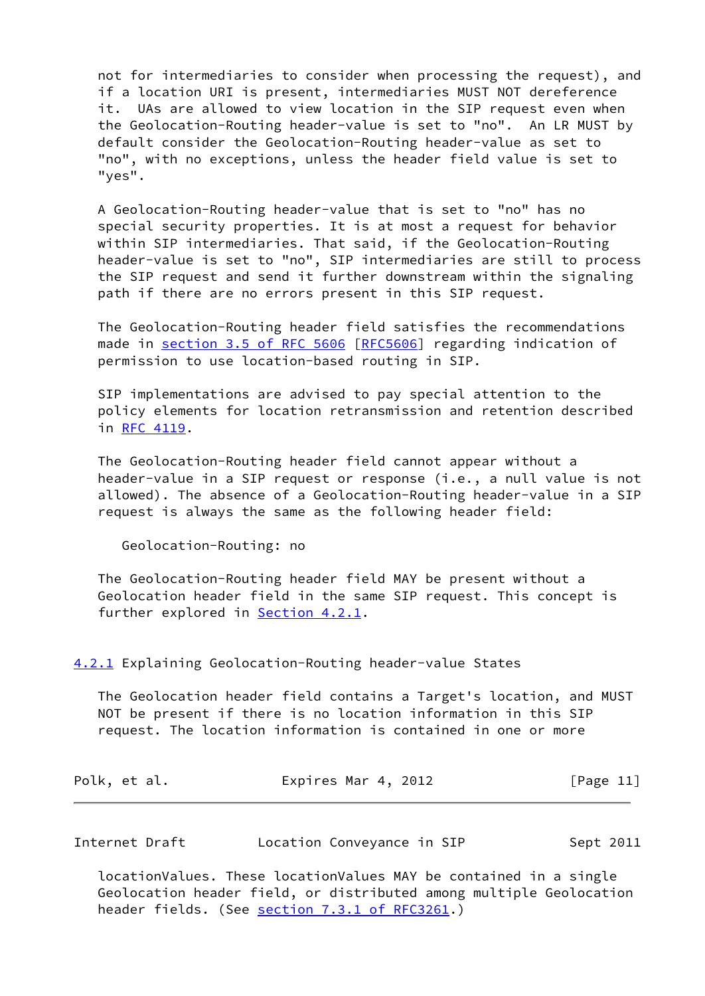not for intermediaries to consider when processing the request), and if a location URI is present, intermediaries MUST NOT dereference it. UAs are allowed to view location in the SIP request even when the Geolocation-Routing header-value is set to "no". An LR MUST by default consider the Geolocation-Routing header-value as set to "no", with no exceptions, unless the header field value is set to "yes".

 A Geolocation-Routing header-value that is set to "no" has no special security properties. It is at most a request for behavior within SIP intermediaries. That said, if the Geolocation-Routing header-value is set to "no", SIP intermediaries are still to process the SIP request and send it further downstream within the signaling path if there are no errors present in this SIP request.

 The Geolocation-Routing header field satisfies the recommendations made in section [3.5 of RFC 5606](https://datatracker.ietf.org/doc/pdf/rfc5606#section-3.5) [\[RFC5606](https://datatracker.ietf.org/doc/pdf/rfc5606)] regarding indication of permission to use location-based routing in SIP.

 SIP implementations are advised to pay special attention to the policy elements for location retransmission and retention described in [RFC 4119.](https://datatracker.ietf.org/doc/pdf/rfc4119)

 The Geolocation-Routing header field cannot appear without a header-value in a SIP request or response (i.e., a null value is not allowed). The absence of a Geolocation-Routing header-value in a SIP request is always the same as the following header field:

Geolocation-Routing: no

 The Geolocation-Routing header field MAY be present without a Geolocation header field in the same SIP request. This concept is further explored in [Section 4.2.1.](#page-12-0)

<span id="page-12-0"></span>[4.2.1](#page-12-0) Explaining Geolocation-Routing header-value States

 The Geolocation header field contains a Target's location, and MUST NOT be present if there is no location information in this SIP request. The location information is contained in one or more

| Polk, et al. | Expires Mar 4, 2012 | [Page 11] |
|--------------|---------------------|-----------|
|--------------|---------------------|-----------|

Internet Draft Location Conveyance in SIP Sept 2011

 locationValues. These locationValues MAY be contained in a single Geolocation header field, or distributed among multiple Geolocation header fields. (See section [7.3.1 of RFC3261.](https://datatracker.ietf.org/doc/pdf/rfc3261#section-7.3.1))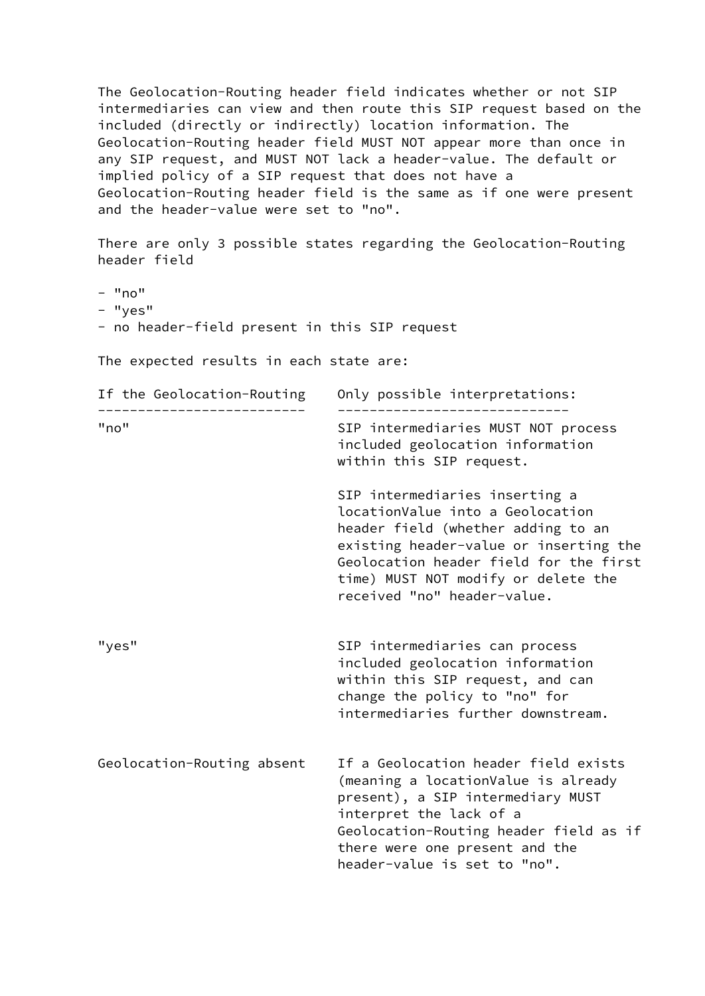The Geolocation-Routing header field indicates whether or not SIP intermediaries can view and then route this SIP request based on the included (directly or indirectly) location information. The Geolocation-Routing header field MUST NOT appear more than once in any SIP request, and MUST NOT lack a header-value. The default or implied policy of a SIP request that does not have a Geolocation-Routing header field is the same as if one were present and the header-value were set to "no".

 There are only 3 possible states regarding the Geolocation-Routing header field

- $-$  "no"
- "yes"
- no header-field present in this SIP request

The expected results in each state are:

| If the Geolocation-Routing | Only possible interpretations:                                                                                                                                                                                                                                     |  |  |
|----------------------------|--------------------------------------------------------------------------------------------------------------------------------------------------------------------------------------------------------------------------------------------------------------------|--|--|
| "no"                       | SIP intermediaries MUST NOT process<br>included geolocation information<br>within this SIP request.                                                                                                                                                                |  |  |
|                            | SIP intermediaries inserting a<br>locationValue into a Geolocation<br>header field (whether adding to an<br>existing header-value or inserting the<br>Geolocation header field for the first<br>time) MUST NOT modify or delete the<br>received "no" header-value. |  |  |
| "yes"                      | SIP intermediaries can process<br>included geolocation information<br>within this SIP request, and can<br>change the policy to "no" for<br>intermediaries further downstream.                                                                                      |  |  |
| Geolocation-Routing absent | If a Geolocation header field exists<br>(meaning a locationValue is already<br>present), a SIP intermediary MUST<br>interpret the lack of a<br>Geolocation-Routing header field as if<br>there were one present and the<br>header-value is set to "no".            |  |  |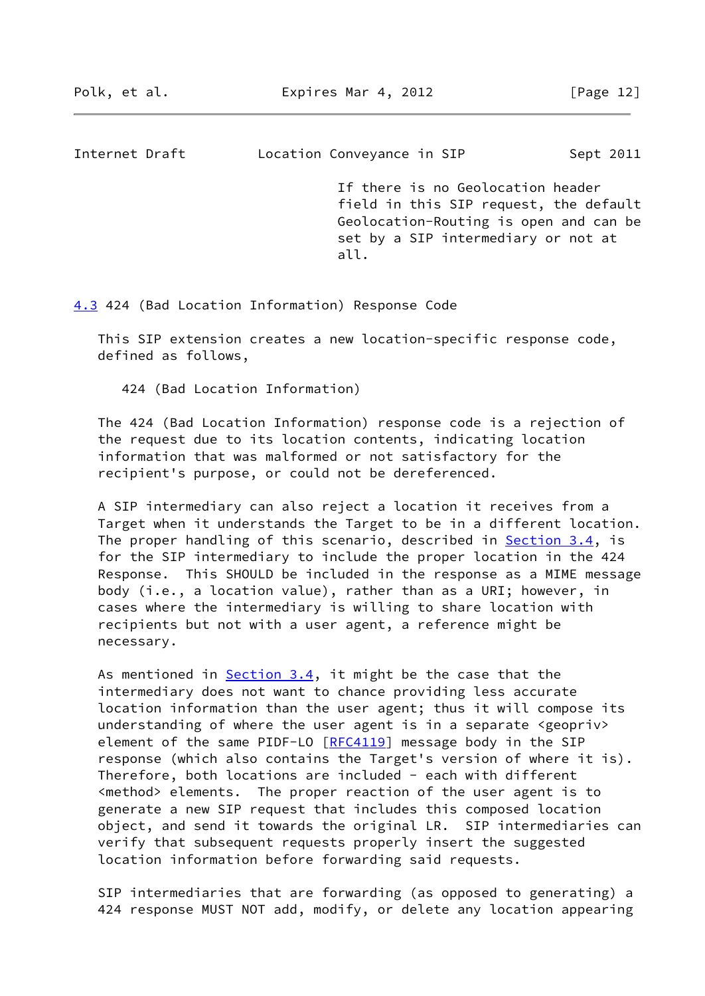<span id="page-14-1"></span>Internet Draft Location Conveyance in SIP Sept 2011

 If there is no Geolocation header field in this SIP request, the default Geolocation-Routing is open and can be set by a SIP intermediary or not at all. The contract of the contract of the contract of the contract of the contract of the contract of the contra

<span id="page-14-0"></span>[4.3](#page-14-0) 424 (Bad Location Information) Response Code

 This SIP extension creates a new location-specific response code, defined as follows,

424 (Bad Location Information)

 The 424 (Bad Location Information) response code is a rejection of the request due to its location contents, indicating location information that was malformed or not satisfactory for the recipient's purpose, or could not be dereferenced.

 A SIP intermediary can also reject a location it receives from a Target when it understands the Target to be in a different location. The proper handling of this scenario, described in **[Section 3.4](#page-7-0)**, is for the SIP intermediary to include the proper location in the 424 Response. This SHOULD be included in the response as a MIME message body (i.e., a location value), rather than as a URI; however, in cases where the intermediary is willing to share location with recipients but not with a user agent, a reference might be necessary.

As mentioned in  $Section 3.4$ , it might be the case that the intermediary does not want to chance providing less accurate location information than the user agent; thus it will compose its understanding of where the user agent is in a separate <geopriv> element of the same PIDF-LO [\[RFC4119](https://datatracker.ietf.org/doc/pdf/rfc4119)] message body in the SIP response (which also contains the Target's version of where it is). Therefore, both locations are included - each with different <method> elements. The proper reaction of the user agent is to generate a new SIP request that includes this composed location object, and send it towards the original LR. SIP intermediaries can verify that subsequent requests properly insert the suggested location information before forwarding said requests.

 SIP intermediaries that are forwarding (as opposed to generating) a 424 response MUST NOT add, modify, or delete any location appearing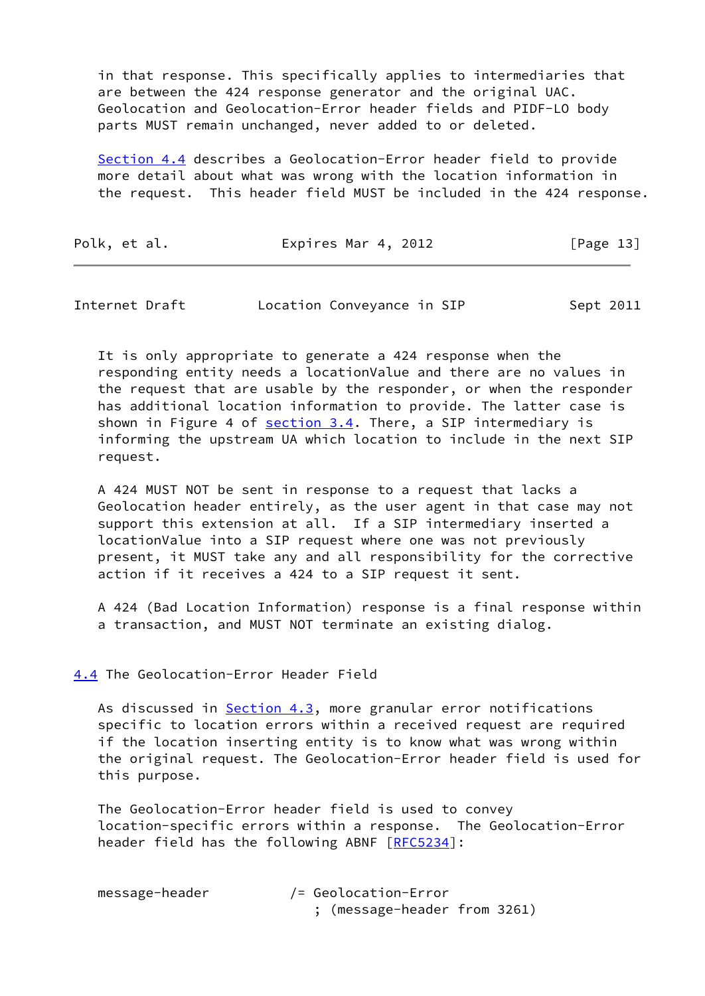in that response. This specifically applies to intermediaries that are between the 424 response generator and the original UAC. Geolocation and Geolocation-Error header fields and PIDF-LO body parts MUST remain unchanged, never added to or deleted.

 [Section 4.4](#page-15-0) describes a Geolocation-Error header field to provide more detail about what was wrong with the location information in the request. This header field MUST be included in the 424 response.

| Polk, et al. | Expires Mar 4, 2012 | [Page 13] |
|--------------|---------------------|-----------|
|--------------|---------------------|-----------|

<span id="page-15-1"></span>

| Internet Draft | Location Conveyance in SIP | Sept 2011 |
|----------------|----------------------------|-----------|
|----------------|----------------------------|-----------|

 It is only appropriate to generate a 424 response when the responding entity needs a locationValue and there are no values in the request that are usable by the responder, or when the responder has additional location information to provide. The latter case is shown in Figure 4 of [section 3.4](#page-7-0). There, a SIP intermediary is informing the upstream UA which location to include in the next SIP request.

 A 424 MUST NOT be sent in response to a request that lacks a Geolocation header entirely, as the user agent in that case may not support this extension at all. If a SIP intermediary inserted a locationValue into a SIP request where one was not previously present, it MUST take any and all responsibility for the corrective action if it receives a 424 to a SIP request it sent.

 A 424 (Bad Location Information) response is a final response within a transaction, and MUST NOT terminate an existing dialog.

## <span id="page-15-0"></span>[4.4](#page-15-0) The Geolocation-Error Header Field

As discussed in [Section 4.3](#page-14-0), more granular error notifications specific to location errors within a received request are required if the location inserting entity is to know what was wrong within the original request. The Geolocation-Error header field is used for this purpose.

 The Geolocation-Error header field is used to convey location-specific errors within a response. The Geolocation-Error header field has the following ABNF [\[RFC5234](https://datatracker.ietf.org/doc/pdf/rfc5234)]:

| message-header | /= Geolocation-Error         |
|----------------|------------------------------|
|                | ; (message-header from 3261) |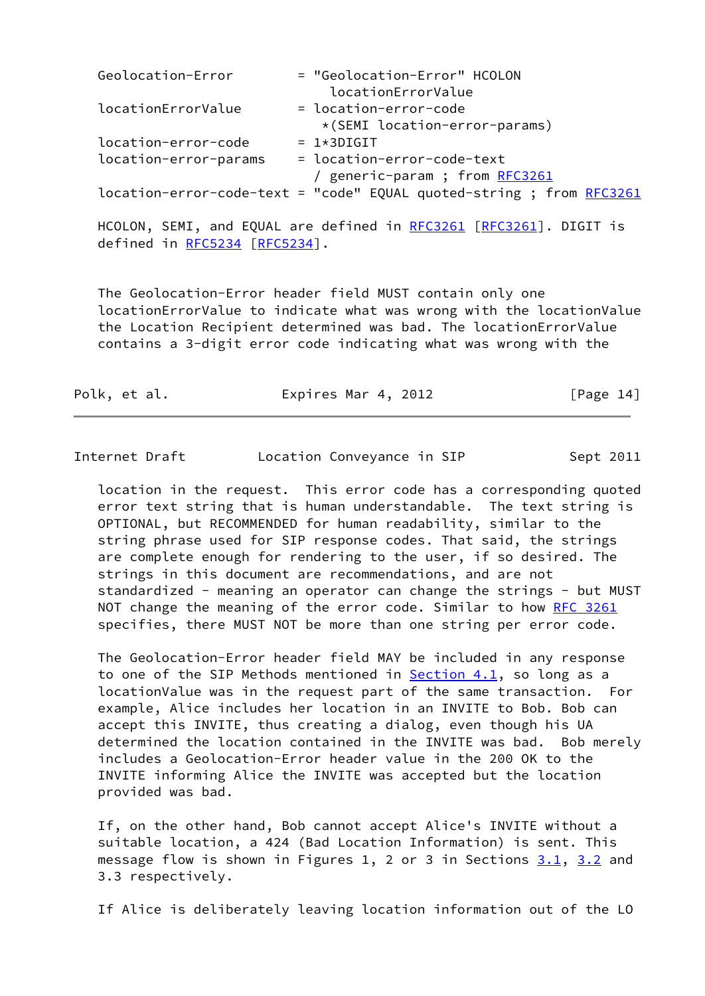| Geolocation-Error     | = "Geolocation-Error" HCOLON                                         |
|-----------------------|----------------------------------------------------------------------|
|                       | locationErrorValue                                                   |
| locationErrorValue    | = location-error-code                                                |
|                       | *(SEMI location-error-params)                                        |
| location-error-code   | $= 1*3DIGIT$                                                         |
| location-error-params | = location-error-code-text                                           |
|                       | / generic-param ; from RFC3261                                       |
|                       | location-error-code-text = "code" EQUAL quoted-string ; from RFC3261 |

HCOLON, SEMI, and EQUAL are defined in [RFC3261](https://datatracker.ietf.org/doc/pdf/rfc3261) [\[RFC3261](https://datatracker.ietf.org/doc/pdf/rfc3261)]. DIGIT is defined in [RFC5234](https://datatracker.ietf.org/doc/pdf/rfc5234) [[RFC5234\]](https://datatracker.ietf.org/doc/pdf/rfc5234).

 The Geolocation-Error header field MUST contain only one locationErrorValue to indicate what was wrong with the locationValue the Location Recipient determined was bad. The locationErrorValue contains a 3-digit error code indicating what was wrong with the

| Polk, et al. | Expires Mar 4, 2012 | [Page 14] |
|--------------|---------------------|-----------|
|--------------|---------------------|-----------|

Internet Draft Location Conveyance in SIP Sept 2011

 location in the request. This error code has a corresponding quoted error text string that is human understandable. The text string is OPTIONAL, but RECOMMENDED for human readability, similar to the string phrase used for SIP response codes. That said, the strings are complete enough for rendering to the user, if so desired. The strings in this document are recommendations, and are not standardized - meaning an operator can change the strings - but MUST NOT change the meaning of the error code. Similar to how [RFC 3261](https://datatracker.ietf.org/doc/pdf/rfc3261) specifies, there MUST NOT be more than one string per error code.

 The Geolocation-Error header field MAY be included in any response to one of the SIP Methods mentioned in [Section 4.1](#page-8-2), so long as a locationValue was in the request part of the same transaction. For example, Alice includes her location in an INVITE to Bob. Bob can accept this INVITE, thus creating a dialog, even though his UA determined the location contained in the INVITE was bad. Bob merely includes a Geolocation-Error header value in the 200 OK to the INVITE informing Alice the INVITE was accepted but the location provided was bad.

 If, on the other hand, Bob cannot accept Alice's INVITE without a suitable location, a 424 (Bad Location Information) is sent. This message flow is shown in Figures 1, 2 or 3 in Sections  $3.1$ ,  $3.2$  and 3.3 respectively.

If Alice is deliberately leaving location information out of the LO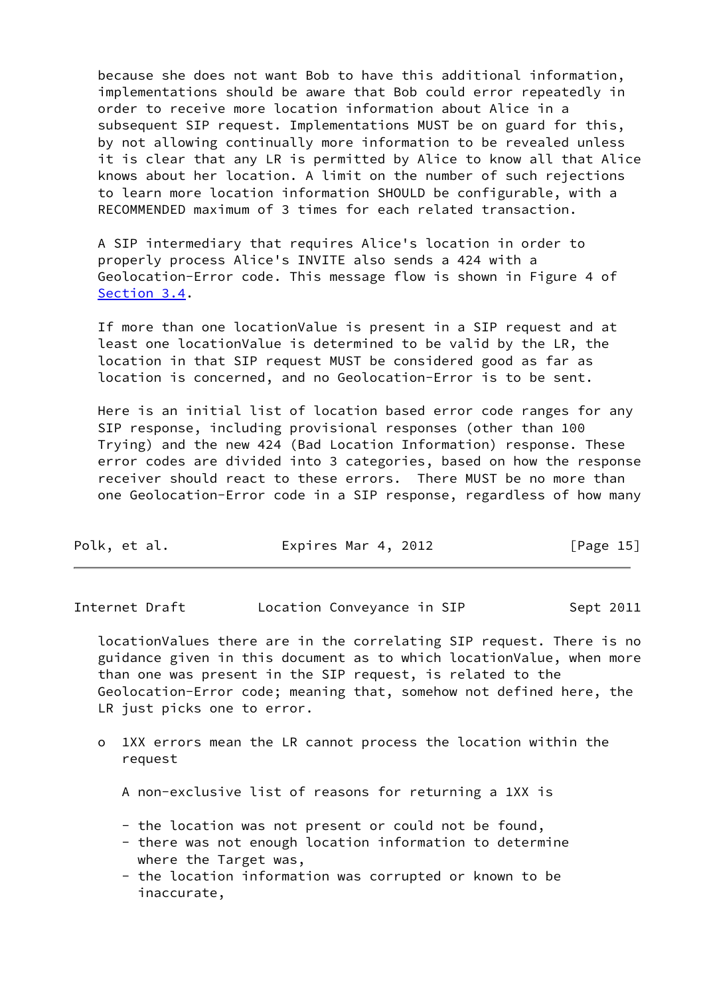because she does not want Bob to have this additional information, implementations should be aware that Bob could error repeatedly in order to receive more location information about Alice in a subsequent SIP request. Implementations MUST be on guard for this, by not allowing continually more information to be revealed unless it is clear that any LR is permitted by Alice to know all that Alice knows about her location. A limit on the number of such rejections to learn more location information SHOULD be configurable, with a RECOMMENDED maximum of 3 times for each related transaction.

 A SIP intermediary that requires Alice's location in order to properly process Alice's INVITE also sends a 424 with a Geolocation-Error code. This message flow is shown in Figure 4 of [Section 3.4](#page-7-0).

 If more than one locationValue is present in a SIP request and at least one locationValue is determined to be valid by the LR, the location in that SIP request MUST be considered good as far as location is concerned, and no Geolocation-Error is to be sent.

 Here is an initial list of location based error code ranges for any SIP response, including provisional responses (other than 100 Trying) and the new 424 (Bad Location Information) response. These error codes are divided into 3 categories, based on how the response receiver should react to these errors. There MUST be no more than one Geolocation-Error code in a SIP response, regardless of how many

| Polk, et al. | Expires Mar 4, 2012 | [Page 15] |
|--------------|---------------------|-----------|
|              |                     |           |

Internet Draft **Location Conveyance in SIP** Sept 2011

 locationValues there are in the correlating SIP request. There is no guidance given in this document as to which locationValue, when more than one was present in the SIP request, is related to the Geolocation-Error code; meaning that, somehow not defined here, the LR just picks one to error.

 o 1XX errors mean the LR cannot process the location within the request

A non-exclusive list of reasons for returning a 1XX is

- the location was not present or could not be found,
- there was not enough location information to determine where the Target was,
- the location information was corrupted or known to be inaccurate,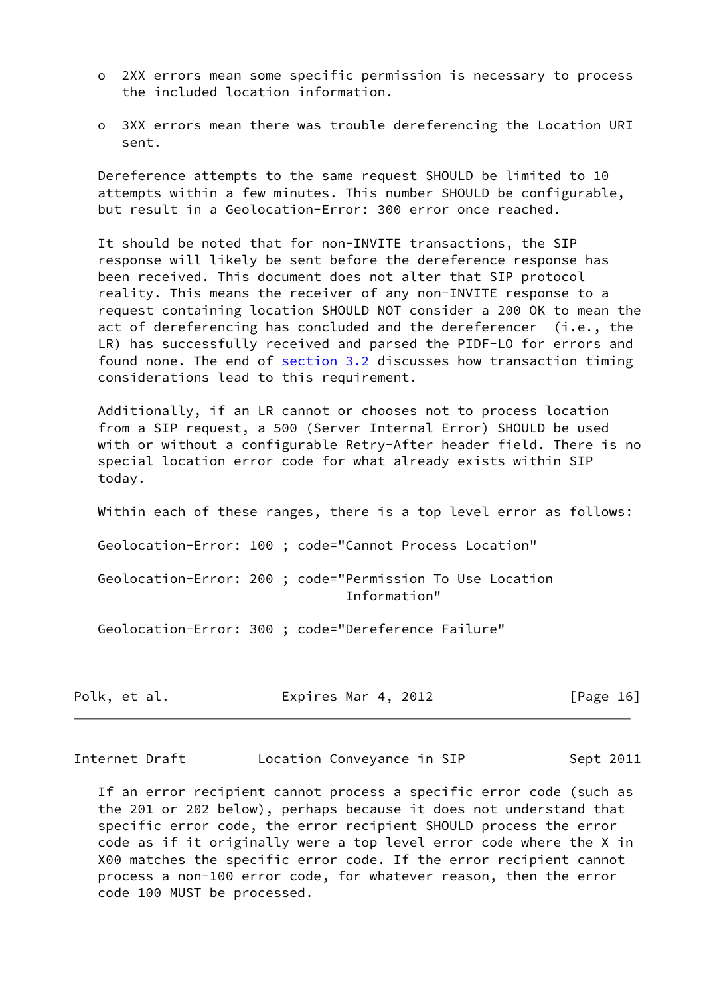- o 2XX errors mean some specific permission is necessary to process the included location information.
- o 3XX errors mean there was trouble dereferencing the Location URI sent.

 Dereference attempts to the same request SHOULD be limited to 10 attempts within a few minutes. This number SHOULD be configurable, but result in a Geolocation-Error: 300 error once reached.

 It should be noted that for non-INVITE transactions, the SIP response will likely be sent before the dereference response has been received. This document does not alter that SIP protocol reality. This means the receiver of any non-INVITE response to a request containing location SHOULD NOT consider a 200 OK to mean the act of dereferencing has concluded and the dereferencer (i.e., the LR) has successfully received and parsed the PIDF-LO for errors and found none. The end of [section 3.2](#page-4-1) discusses how transaction timing considerations lead to this requirement.

 Additionally, if an LR cannot or chooses not to process location from a SIP request, a 500 (Server Internal Error) SHOULD be used with or without a configurable Retry-After header field. There is no special location error code for what already exists within SIP today.

Within each of these ranges, there is a top level error as follows:

Geolocation-Error: 100 ; code="Cannot Process Location"

 Geolocation-Error: 200 ; code="Permission To Use Location Information"

Geolocation-Error: 300 ; code="Dereference Failure"

| Polk, et al. | Expires Mar 4, 2012 |  | [Page 16] |
|--------------|---------------------|--|-----------|
|--------------|---------------------|--|-----------|

<span id="page-18-0"></span>Internet Draft Location Conveyance in SIP Sept 2011

 If an error recipient cannot process a specific error code (such as the 201 or 202 below), perhaps because it does not understand that specific error code, the error recipient SHOULD process the error code as if it originally were a top level error code where the X in X00 matches the specific error code. If the error recipient cannot process a non-100 error code, for whatever reason, then the error code 100 MUST be processed.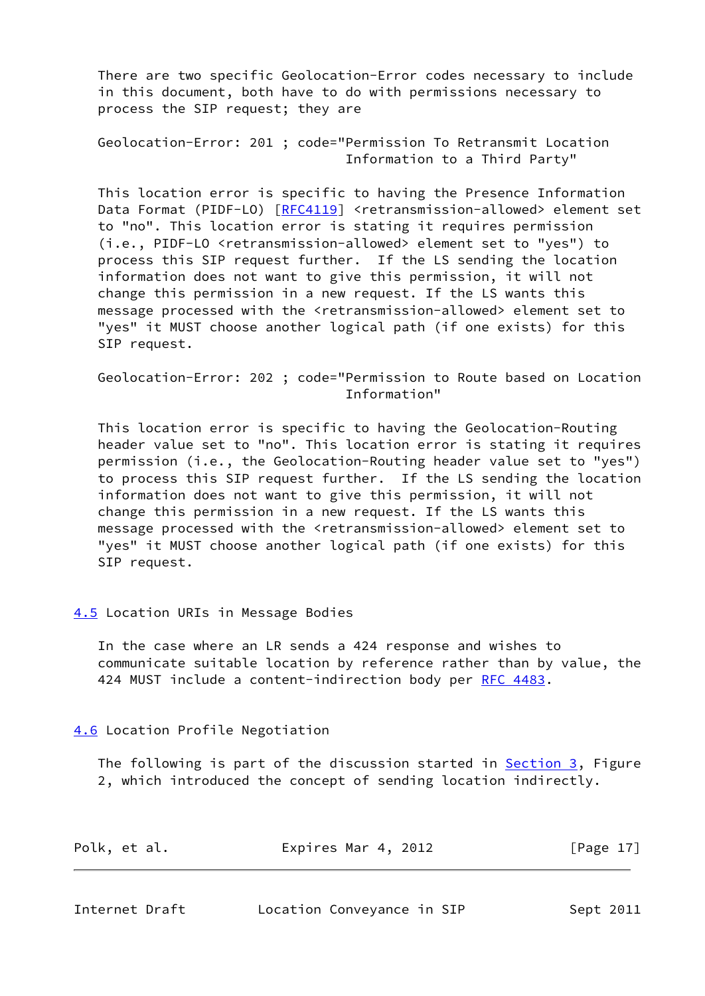There are two specific Geolocation-Error codes necessary to include in this document, both have to do with permissions necessary to process the SIP request; they are

 Geolocation-Error: 201 ; code="Permission To Retransmit Location Information to a Third Party"

 This location error is specific to having the Presence Information Data Format (PIDF-LO) [[RFC4119](https://datatracker.ietf.org/doc/pdf/rfc4119)] <retransmission-allowed> element set to "no". This location error is stating it requires permission (i.e., PIDF-LO <retransmission-allowed> element set to "yes") to process this SIP request further. If the LS sending the location information does not want to give this permission, it will not change this permission in a new request. If the LS wants this message processed with the <retransmission-allowed> element set to "yes" it MUST choose another logical path (if one exists) for this SIP request.

 Geolocation-Error: 202 ; code="Permission to Route based on Location Information"

 This location error is specific to having the Geolocation-Routing header value set to "no". This location error is stating it requires permission (i.e., the Geolocation-Routing header value set to "yes") to process this SIP request further. If the LS sending the location information does not want to give this permission, it will not change this permission in a new request. If the LS wants this message processed with the <retransmission-allowed> element set to "yes" it MUST choose another logical path (if one exists) for this SIP request.

## <span id="page-19-0"></span>[4.5](#page-19-0) Location URIs in Message Bodies

 In the case where an LR sends a 424 response and wishes to communicate suitable location by reference rather than by value, the 424 MUST include a content-indirection body per [RFC 4483](https://datatracker.ietf.org/doc/pdf/rfc4483).

<span id="page-19-1"></span>[4.6](#page-19-1) Location Profile Negotiation

The following is part of the discussion started in **Section 3**, Figure 2, which introduced the concept of sending location indirectly.

| Polk, et al. | Expires Mar 4, 2012 | [Page 17] |
|--------------|---------------------|-----------|
|              |                     |           |

<span id="page-19-2"></span>

| Internet Draft |  |
|----------------|--|
|----------------|--|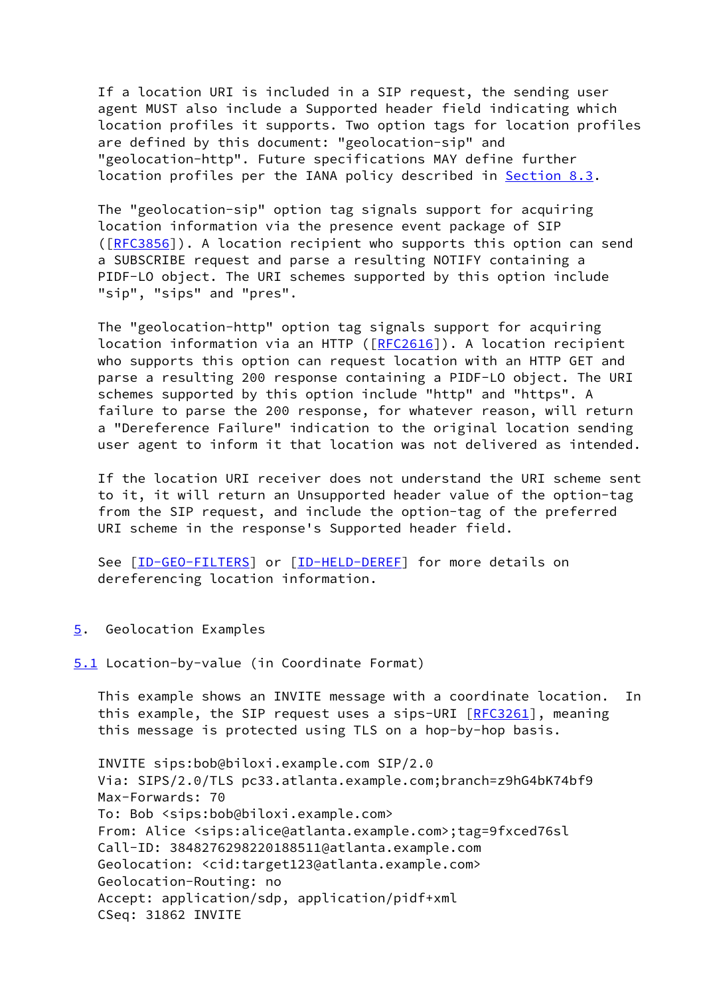If a location URI is included in a SIP request, the sending user agent MUST also include a Supported header field indicating which location profiles it supports. Two option tags for location profiles are defined by this document: "geolocation-sip" and "geolocation-http". Future specifications MAY define further location profiles per the IANA policy described in [Section 8.3](#page-28-0).

 The "geolocation-sip" option tag signals support for acquiring location information via the presence event package of SIP ([\[RFC3856](https://datatracker.ietf.org/doc/pdf/rfc3856)]). A location recipient who supports this option can send a SUBSCRIBE request and parse a resulting NOTIFY containing a PIDF-LO object. The URI schemes supported by this option include "sip", "sips" and "pres".

 The "geolocation-http" option tag signals support for acquiring location information via an HTTP ([[RFC2616](https://datatracker.ietf.org/doc/pdf/rfc2616)]). A location recipient who supports this option can request location with an HTTP GET and parse a resulting 200 response containing a PIDF-LO object. The URI schemes supported by this option include "http" and "https". A failure to parse the 200 response, for whatever reason, will return a "Dereference Failure" indication to the original location sending user agent to inform it that location was not delivered as intended.

 If the location URI receiver does not understand the URI scheme sent to it, it will return an Unsupported header value of the option-tag from the SIP request, and include the option-tag of the preferred URI scheme in the response's Supported header field.

See [\[ID-GEO-FILTERS](#page-32-2)] or [\[ID-HELD-DEREF](#page-32-3)] for more details on dereferencing location information.

### <span id="page-20-0"></span>[5](#page-20-0). Geolocation Examples

<span id="page-20-1"></span>[5.1](#page-20-1) Location-by-value (in Coordinate Format)

 This example shows an INVITE message with a coordinate location. In this example, the SIP request uses a sips-URI [[RFC3261](https://datatracker.ietf.org/doc/pdf/rfc3261)], meaning this message is protected using TLS on a hop-by-hop basis.

 INVITE sips:bob@biloxi.example.com SIP/2.0 Via: SIPS/2.0/TLS pc33.atlanta.example.com;branch=z9hG4bK74bf9 Max-Forwards: 70 To: Bob <sips:bob@biloxi.example.com> From: Alice <sips:alice@atlanta.example.com>;tag=9fxced76sl Call-ID: 3848276298220188511@atlanta.example.com Geolocation: <cid:target123@atlanta.example.com> Geolocation-Routing: no Accept: application/sdp, application/pidf+xml CSeq: 31862 INVITE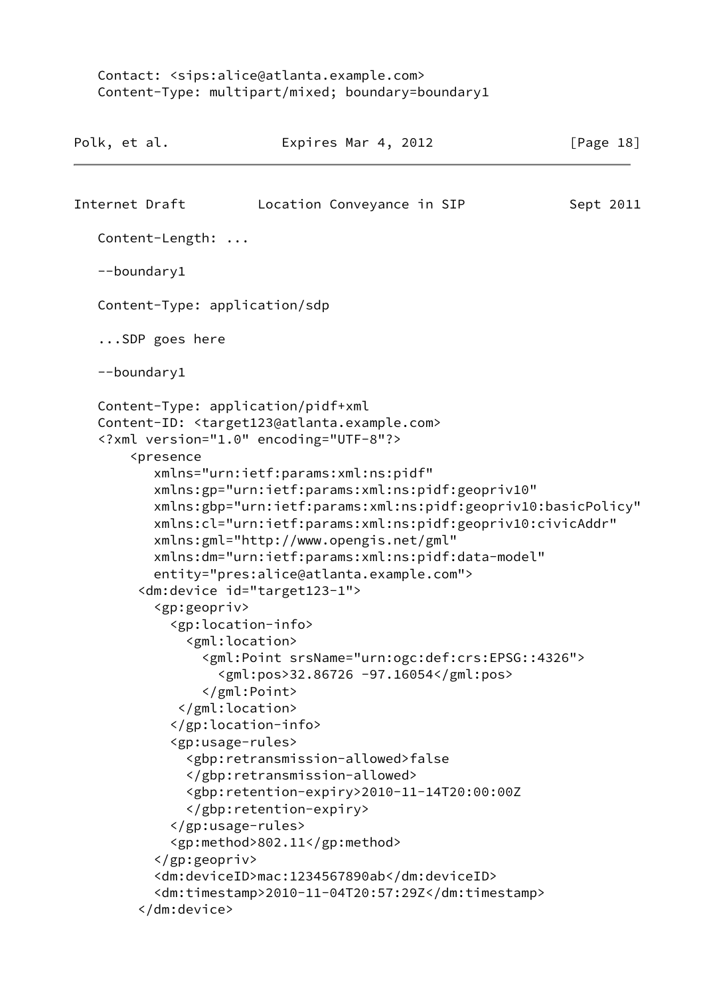Contact: <sips:alice@atlanta.example.com> Content-Type: multipart/mixed; boundary=boundary1

| Polk, et al.                                                                                                                                                                                                                          | Expires Mar 4, 2012                                                                                                                                                                                                                                                                                                                                                                                                                                                                                                                                                                                                                                                                                                                                                                                                                                                                                                                                           | [Page 18] |
|---------------------------------------------------------------------------------------------------------------------------------------------------------------------------------------------------------------------------------------|---------------------------------------------------------------------------------------------------------------------------------------------------------------------------------------------------------------------------------------------------------------------------------------------------------------------------------------------------------------------------------------------------------------------------------------------------------------------------------------------------------------------------------------------------------------------------------------------------------------------------------------------------------------------------------------------------------------------------------------------------------------------------------------------------------------------------------------------------------------------------------------------------------------------------------------------------------------|-----------|
| Internet Draft                                                                                                                                                                                                                        | Location Conveyance in SIP                                                                                                                                                                                                                                                                                                                                                                                                                                                                                                                                                                                                                                                                                                                                                                                                                                                                                                                                    | Sept 2011 |
| Content-Length:                                                                                                                                                                                                                       |                                                                                                                                                                                                                                                                                                                                                                                                                                                                                                                                                                                                                                                                                                                                                                                                                                                                                                                                                               |           |
| --boundary1                                                                                                                                                                                                                           |                                                                                                                                                                                                                                                                                                                                                                                                                                                                                                                                                                                                                                                                                                                                                                                                                                                                                                                                                               |           |
| Content-Type: application/sdp                                                                                                                                                                                                         |                                                                                                                                                                                                                                                                                                                                                                                                                                                                                                                                                                                                                                                                                                                                                                                                                                                                                                                                                               |           |
| $\ldots$ SDP goes here                                                                                                                                                                                                                |                                                                                                                                                                                                                                                                                                                                                                                                                                                                                                                                                                                                                                                                                                                                                                                                                                                                                                                                                               |           |
| --boundary1                                                                                                                                                                                                                           |                                                                                                                                                                                                                                                                                                                                                                                                                                                                                                                                                                                                                                                                                                                                                                                                                                                                                                                                                               |           |
| Content-Type: application/pidf+xml<br><presence<br><gp:geopriv><br/><gp:location-info><br/><gml:location><br/></gml:location><br/></gp:location-info><br/><gp:usage-rules><br/></gp:usage-rules><br/></gp:geopriv><br/></presence<br> | Content-ID: <target123@atlanta.example.com><br/><?xml version="1.0" encoding="UTF-8"?><br/>xmlns="urn:ietf:params:xml:ns:pidf"<br/>xmlns:gp="urn:ietf:params:xml:ns:pidf:geopriv10"<br/>xmlns:gbp="urn:ietf:params:xml:ns:pidf:geopriv10:basicPolicy"<br/>xmlns:cl="urn:ietf:params:xml:ns:pidf:geopriv10:civicAddr"<br/>xmlns:gml="http://www.opengis.net/gml"<br/>xmlns:dm="urn:ietf:params:xml:ns:pidf:data-model"<br/>entity="pres:alice@atlanta.example.com"&gt;<br/><dm:device id="target123-1"><br/><gml:point srsname="urn:ogc:def:crs:EPSG::4326"><br/><gml:pos>32.86726 -97.16054</gml:pos><br/></gml:point><br/><gbp:retransmission-allowed>false<br/></gbp:retransmission-allowed><br/><gbp:retention-expiry>2010-11-14T20:00:00Z<br/></gbp:retention-expiry><br/><gp:method>802.11</gp:method><br/><dm:deviceid>mac:1234567890ab</dm:deviceid><br/><dm:timestamp>2010-11-04T20:57:29Z</dm:timestamp></dm:device></target123@atlanta.example.com> |           |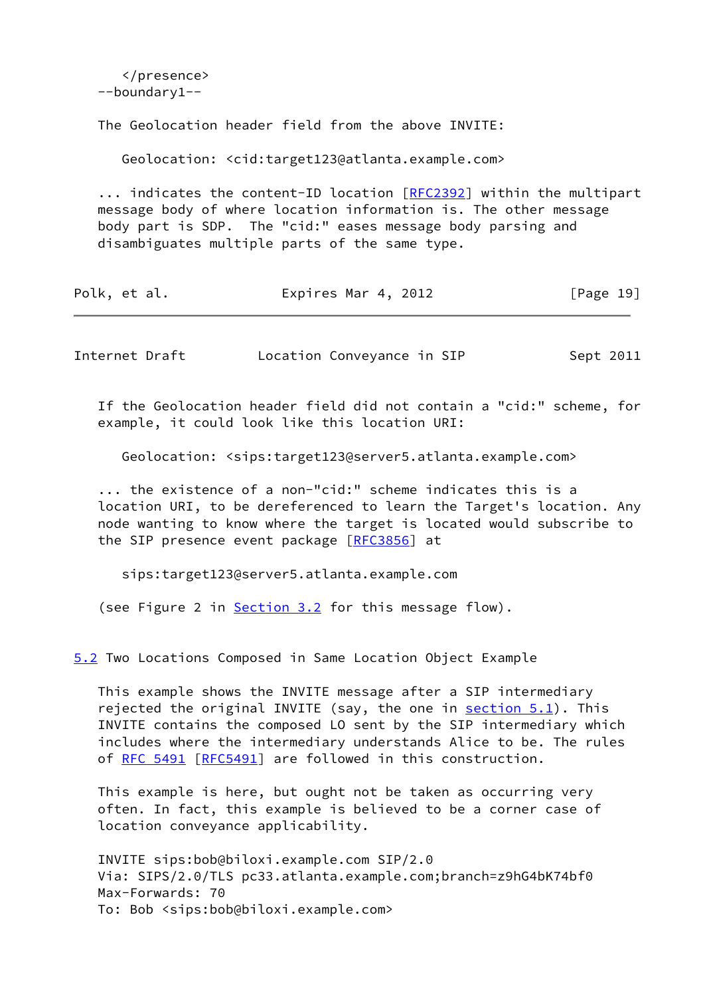</presence> --boundary1-- The Geolocation header field from the above INVITE: Geolocation: <cid:target123@atlanta.example.com> ... indicates the content-ID location [[RFC2392](https://datatracker.ietf.org/doc/pdf/rfc2392)] within the multipart message body of where location information is. The other message body part is SDP. The "cid:" eases message body parsing and disambiguates multiple parts of the same type. Polk, et al. Expires Mar 4, 2012 [Page 19] Internet Draft Location Conveyance in SIP Sept 2011

 If the Geolocation header field did not contain a "cid:" scheme, for example, it could look like this location URI:

Geolocation: <sips:target123@server5.atlanta.example.com>

 ... the existence of a non-"cid:" scheme indicates this is a location URI, to be dereferenced to learn the Target's location. Any node wanting to know where the target is located would subscribe to the SIP presence event package [\[RFC3856](https://datatracker.ietf.org/doc/pdf/rfc3856)] at

sips:target123@server5.atlanta.example.com

(see Figure 2 in [Section 3.2](#page-4-1) for this message flow).

<span id="page-22-0"></span>[5.2](#page-22-0) Two Locations Composed in Same Location Object Example

 This example shows the INVITE message after a SIP intermediary rejected the original INVITE (say, the one in  $section 5.1$ ). This INVITE contains the composed LO sent by the SIP intermediary which includes where the intermediary understands Alice to be. The rules of [RFC 5491 \[RFC5491](https://datatracker.ietf.org/doc/pdf/rfc5491)] are followed in this construction.

 This example is here, but ought not be taken as occurring very often. In fact, this example is believed to be a corner case of location conveyance applicability.

 INVITE sips:bob@biloxi.example.com SIP/2.0 Via: SIPS/2.0/TLS pc33.atlanta.example.com;branch=z9hG4bK74bf0 Max-Forwards: 70 To: Bob <sips:bob@biloxi.example.com>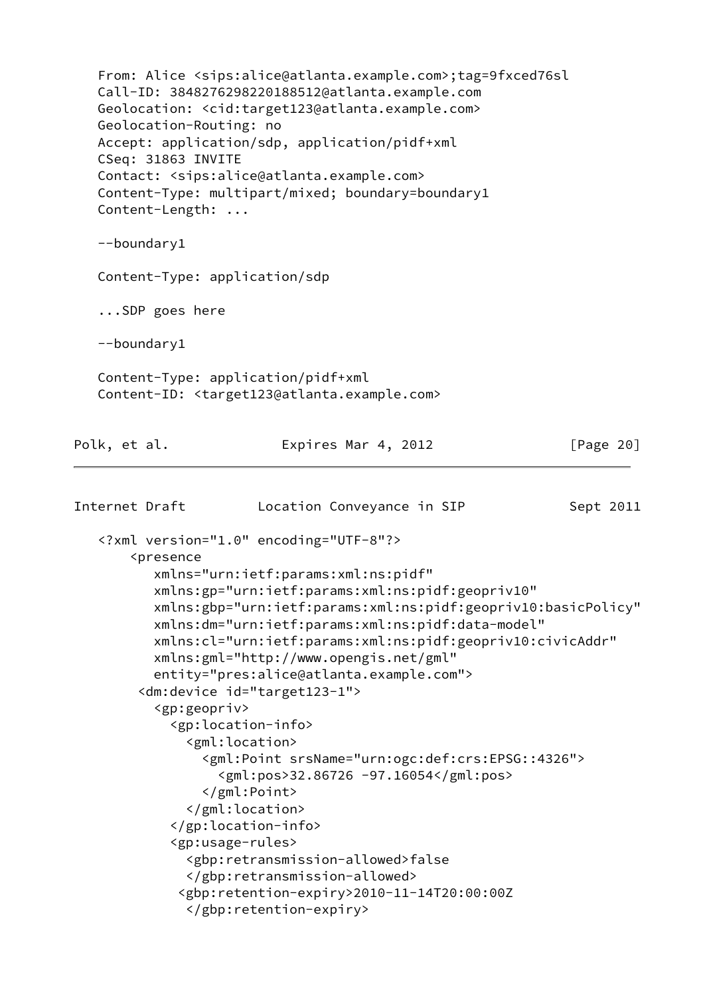From: Alice <sips:alice@atlanta.example.com>;tag=9fxced76sl Call-ID: 3848276298220188512@atlanta.example.com Geolocation: <cid:target123@atlanta.example.com> Geolocation-Routing: no Accept: application/sdp, application/pidf+xml CSeq: 31863 INVITE Contact: <sips:alice@atlanta.example.com> Content-Type: multipart/mixed; boundary=boundary1 Content-Length: ... --boundary1 Content-Type: application/sdp ...SDP goes here --boundary1 Content-Type: application/pidf+xml Content-ID: <target123@atlanta.example.com> Polk, et al. **Expires Mar 4, 2012** [Page 20] Internet Draft **Location Conveyance in SIP** Sept 2011 <?xml version="1.0" encoding="UTF-8"?> <presence xmlns="urn:ietf:params:xml:ns:pidf" xmlns:gp="urn:ietf:params:xml:ns:pidf:geopriv10" xmlns:gbp="urn:ietf:params:xml:ns:pidf:geopriv10:basicPolicy" xmlns:dm="urn:ietf:params:xml:ns:pidf:data-model" xmlns:cl="urn:ietf:params:xml:ns:pidf:geopriv10:civicAddr" xmlns:gml="http://www.opengis.net/gml" entity="pres:alice@atlanta.example.com"> <dm:device id="target123-1"> <gp:geopriv> <gp:location-info> <gml:location> <gml:Point srsName="urn:ogc:def:crs:EPSG::4326"> <gml:pos>32.86726 -97.16054</gml:pos> </gml:Point> </gml:location> </gp:location-info> <gp:usage-rules> <gbp:retransmission-allowed>false </gbp:retransmission-allowed> <gbp:retention-expiry>2010-11-14T20:00:00Z </gbp:retention-expiry>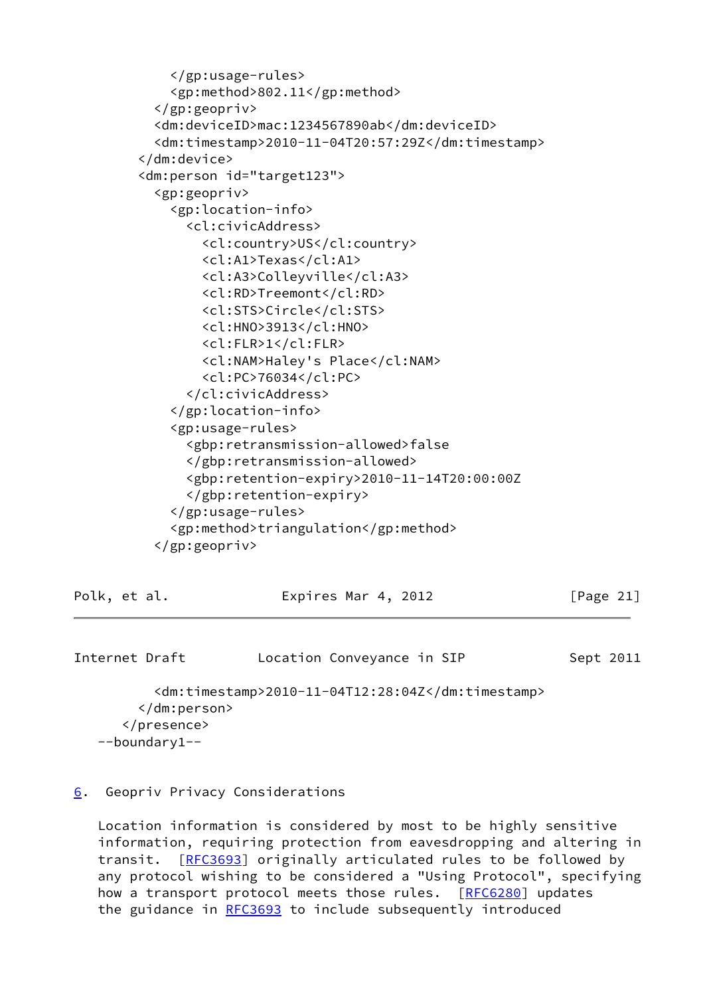```
 </gp:usage-rules>
     <gp:method>802.11</gp:method>
   </gp:geopriv>
   <dm:deviceID>mac:1234567890ab</dm:deviceID>
   <dm:timestamp>2010-11-04T20:57:29Z</dm:timestamp>
 </dm:device>
 <dm:person id="target123">
   <gp:geopriv>
     <gp:location-info>
       <cl:civicAddress>
         <cl:country>US</cl:country>
         <cl:A1>Texas</cl:A1>
         <cl:A3>Colleyville</cl:A3>
         <cl:RD>Treemont</cl:RD>
         <cl:STS>Circle</cl:STS>
         <cl:HNO>3913</cl:HNO>
         <cl:FLR>1</cl:FLR>
         <cl:NAM>Haley's Place</cl:NAM>
         <cl:PC>76034</cl:PC>
       </cl:civicAddress>
     </gp:location-info>
     <gp:usage-rules>
       <gbp:retransmission-allowed>false
       </gbp:retransmission-allowed>
       <gbp:retention-expiry>2010-11-14T20:00:00Z
       </gbp:retention-expiry>
     </gp:usage-rules>
     <gp:method>triangulation</gp:method>
   </gp:geopriv>
```
<span id="page-24-1"></span>

| Polk, et al.   |                   | Expires Mar 4, 2012                               | [Page $21$ ] |
|----------------|-------------------|---------------------------------------------------|--------------|
|                |                   |                                                   |              |
| Internet Draft |                   | Location Conveyance in SIP                        | Sept 2011    |
|                |                   | <dm:timestamp>2010-11-04T12:28:04Z</dm:timestamp> |              |
|                |                   |                                                   |              |
|                |                   |                                                   |              |
|                | $-$ boundary1 $-$ |                                                   |              |

# <span id="page-24-0"></span>[6](#page-24-0). Geopriv Privacy Considerations

 Location information is considered by most to be highly sensitive information, requiring protection from eavesdropping and altering in transit. [[RFC3693](https://datatracker.ietf.org/doc/pdf/rfc3693)] originally articulated rules to be followed by any protocol wishing to be considered a "Using Protocol", specifying how a transport protocol meets those rules. [\[RFC6280](https://datatracker.ietf.org/doc/pdf/rfc6280)] updates the guidance in [RFC3693](https://datatracker.ietf.org/doc/pdf/rfc3693) to include subsequently introduced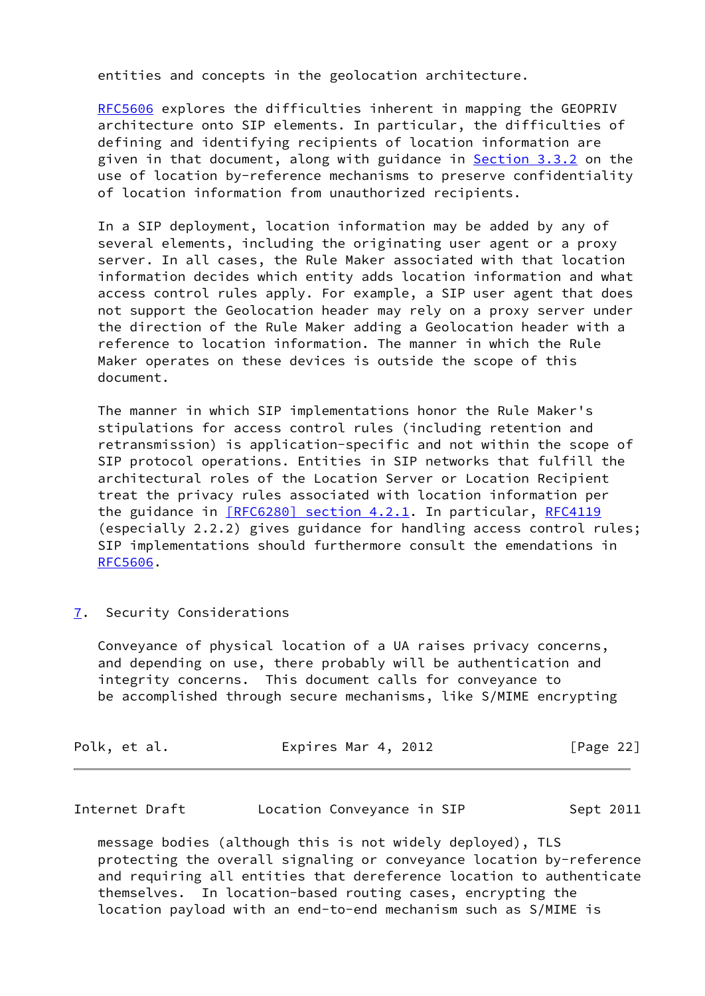entities and concepts in the geolocation architecture.

 [RFC5606](https://datatracker.ietf.org/doc/pdf/rfc5606) explores the difficulties inherent in mapping the GEOPRIV architecture onto SIP elements. In particular, the difficulties of defining and identifying recipients of location information are given in that document, along with guidance in **Section 3.3.2** on the use of location by-reference mechanisms to preserve confidentiality of location information from unauthorized recipients.

 In a SIP deployment, location information may be added by any of several elements, including the originating user agent or a proxy server. In all cases, the Rule Maker associated with that location information decides which entity adds location information and what access control rules apply. For example, a SIP user agent that does not support the Geolocation header may rely on a proxy server under the direction of the Rule Maker adding a Geolocation header with a reference to location information. The manner in which the Rule Maker operates on these devices is outside the scope of this document.

 The manner in which SIP implementations honor the Rule Maker's stipulations for access control rules (including retention and retransmission) is application-specific and not within the scope of SIP protocol operations. Entities in SIP networks that fulfill the architectural roles of the Location Server or Location Recipient treat the privacy rules associated with location information per the guidance in [\[RFC6280\] section](https://datatracker.ietf.org/doc/pdf/rfc6280#section-4.2.1) 4.2.1. In particular, [RFC4119](https://datatracker.ietf.org/doc/pdf/rfc4119) (especially 2.2.2) gives guidance for handling access control rules; SIP implementations should furthermore consult the emendations in [RFC5606](https://datatracker.ietf.org/doc/pdf/rfc5606).

<span id="page-25-0"></span>[7](#page-25-0). Security Considerations

 Conveyance of physical location of a UA raises privacy concerns, and depending on use, there probably will be authentication and integrity concerns. This document calls for conveyance to be accomplished through secure mechanisms, like S/MIME encrypting

| Polk, et al. | Expires Mar 4, 2012 | [Page 22] |
|--------------|---------------------|-----------|
|              |                     |           |

| Internet Draft |  | Location Conveyance in SIP | Sept 2011 |
|----------------|--|----------------------------|-----------|
|----------------|--|----------------------------|-----------|

 message bodies (although this is not widely deployed), TLS protecting the overall signaling or conveyance location by-reference and requiring all entities that dereference location to authenticate themselves. In location-based routing cases, encrypting the location payload with an end-to-end mechanism such as S/MIME is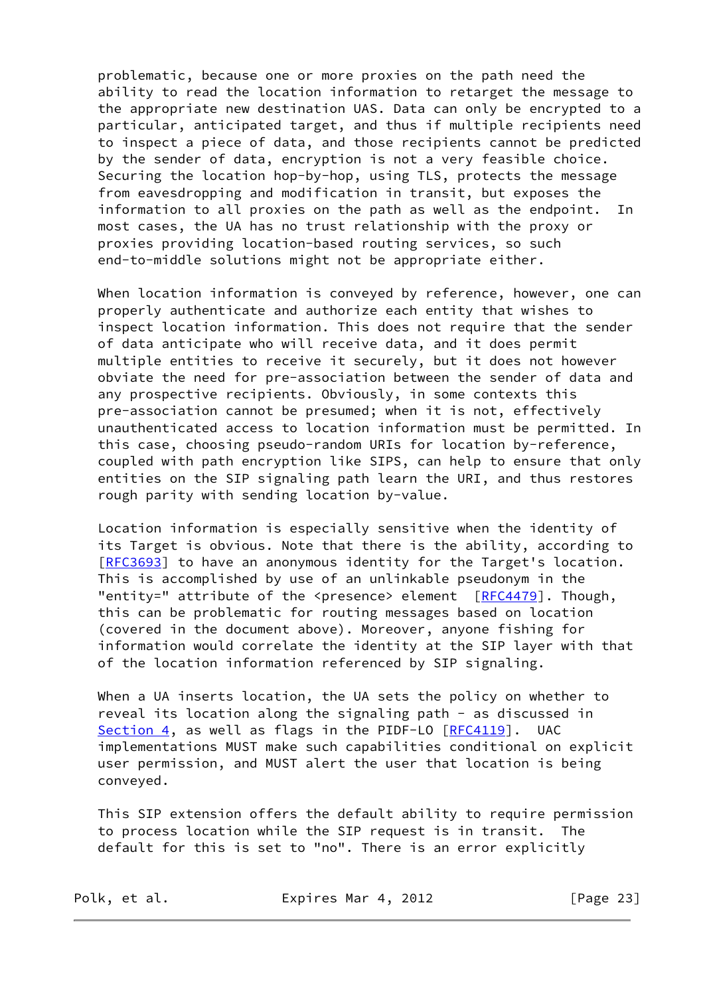problematic, because one or more proxies on the path need the ability to read the location information to retarget the message to the appropriate new destination UAS. Data can only be encrypted to a particular, anticipated target, and thus if multiple recipients need to inspect a piece of data, and those recipients cannot be predicted by the sender of data, encryption is not a very feasible choice. Securing the location hop-by-hop, using TLS, protects the message from eavesdropping and modification in transit, but exposes the information to all proxies on the path as well as the endpoint. In most cases, the UA has no trust relationship with the proxy or proxies providing location-based routing services, so such end-to-middle solutions might not be appropriate either.

 When location information is conveyed by reference, however, one can properly authenticate and authorize each entity that wishes to inspect location information. This does not require that the sender of data anticipate who will receive data, and it does permit multiple entities to receive it securely, but it does not however obviate the need for pre-association between the sender of data and any prospective recipients. Obviously, in some contexts this pre-association cannot be presumed; when it is not, effectively unauthenticated access to location information must be permitted. In this case, choosing pseudo-random URIs for location by-reference, coupled with path encryption like SIPS, can help to ensure that only entities on the SIP signaling path learn the URI, and thus restores rough parity with sending location by-value.

 Location information is especially sensitive when the identity of its Target is obvious. Note that there is the ability, according to [\[RFC3693](https://datatracker.ietf.org/doc/pdf/rfc3693)] to have an anonymous identity for the Target's location. This is accomplished by use of an unlinkable pseudonym in the "entity=" attribute of the <presence> element [\[RFC4479](https://datatracker.ietf.org/doc/pdf/rfc4479)]. Though, this can be problematic for routing messages based on location (covered in the document above). Moreover, anyone fishing for information would correlate the identity at the SIP layer with that of the location information referenced by SIP signaling.

 When a UA inserts location, the UA sets the policy on whether to reveal its location along the signaling path - as discussed in [Section 4](#page-8-0), as well as flags in the PIDF-LO [[RFC4119\]](https://datatracker.ietf.org/doc/pdf/rfc4119). UAC implementations MUST make such capabilities conditional on explicit user permission, and MUST alert the user that location is being conveyed.

 This SIP extension offers the default ability to require permission to process location while the SIP request is in transit. The default for this is set to "no". There is an error explicitly

Polk, et al. Expires Mar 4, 2012 [Page 23]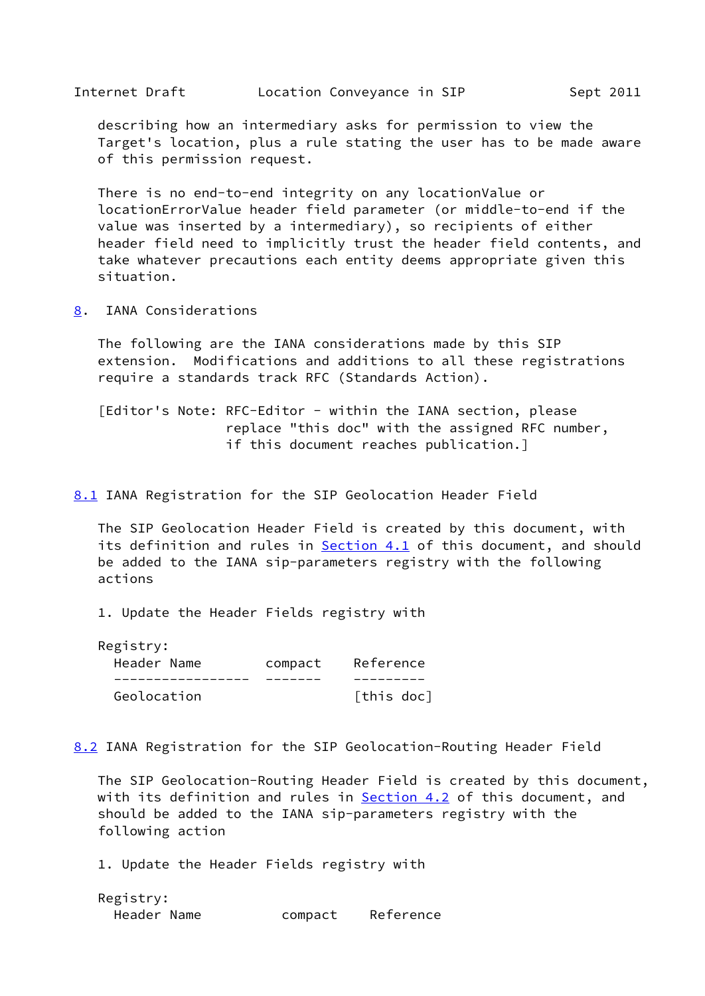<span id="page-27-1"></span> describing how an intermediary asks for permission to view the Target's location, plus a rule stating the user has to be made aware of this permission request.

 There is no end-to-end integrity on any locationValue or locationErrorValue header field parameter (or middle-to-end if the value was inserted by a intermediary), so recipients of either header field need to implicitly trust the header field contents, and take whatever precautions each entity deems appropriate given this situation.

<span id="page-27-0"></span>[8](#page-27-0). IANA Considerations

 The following are the IANA considerations made by this SIP extension. Modifications and additions to all these registrations require a standards track RFC (Standards Action).

 [Editor's Note: RFC-Editor - within the IANA section, please replace "this doc" with the assigned RFC number, if this document reaches publication.]

<span id="page-27-2"></span>[8.1](#page-27-2) IANA Registration for the SIP Geolocation Header Field

 The SIP Geolocation Header Field is created by this document, with its definition and rules in [Section 4.1](#page-8-2) of this document, and should be added to the IANA sip-parameters registry with the following actions

1. Update the Header Fields registry with

| Registry:   |         |            |
|-------------|---------|------------|
| Header Name | compact | Reference  |
|             |         |            |
| Geolocation |         | [this doc] |

<span id="page-27-3"></span>[8.2](#page-27-3) IANA Registration for the SIP Geolocation-Routing Header Field

 The SIP Geolocation-Routing Header Field is created by this document, with its definition and rules in **Section 4.2** of this document, and should be added to the IANA sip-parameters registry with the following action

1. Update the Header Fields registry with

| Registry:   |         |           |
|-------------|---------|-----------|
| Header Name | compact | Reference |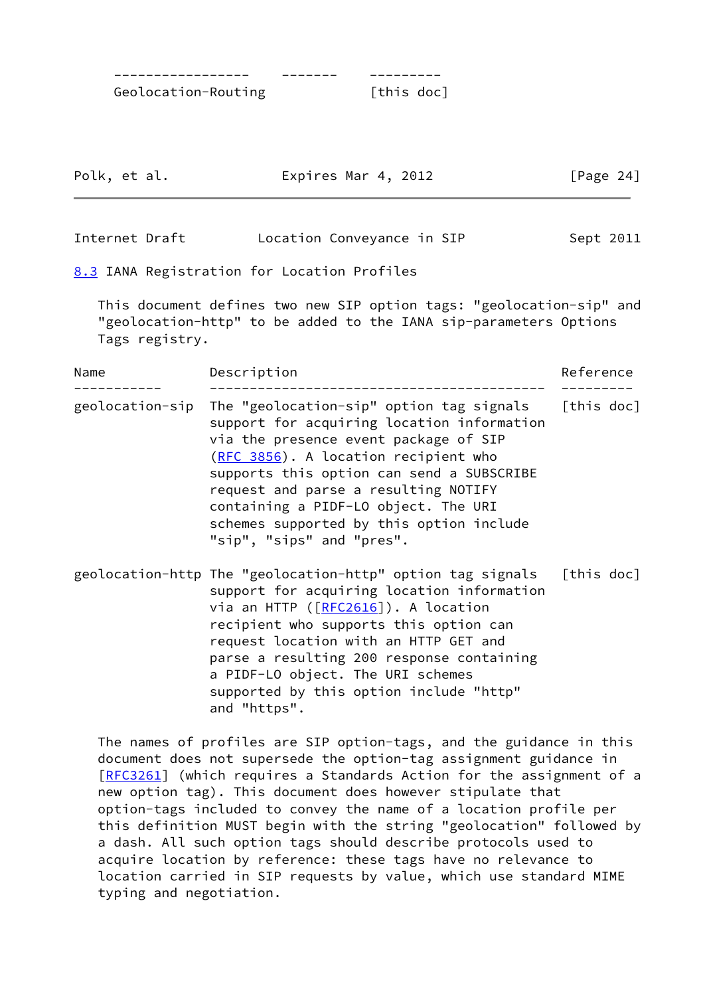----------------- ------- --------- Geolocation-Routing [this doc]

| Polk, et al.<br>Expires Mar 4, 2012 | [Page 24] |
|-------------------------------------|-----------|
|-------------------------------------|-----------|

<span id="page-28-1"></span>Internet Draft **Location Conveyance in SIP** Sept 2011

<span id="page-28-0"></span>[8.3](#page-28-0) IANA Registration for Location Profiles

 This document defines two new SIP option tags: "geolocation-sip" and "geolocation-http" to be added to the IANA sip-parameters Options Tags registry.

| Name            | Description                                                                                                                                                                                                                                                                                                                                                                              | Reference  |  |
|-----------------|------------------------------------------------------------------------------------------------------------------------------------------------------------------------------------------------------------------------------------------------------------------------------------------------------------------------------------------------------------------------------------------|------------|--|
| geolocation-sip | The "geolocation-sip" option tag signals [this doc]<br>support for acquiring location information<br>via the presence event package of SIP<br>(RFC 3856). A location recipient who<br>supports this option can send a SUBSCRIBE<br>request and parse a resulting NOTIFY<br>containing a PIDF-LO object. The URI<br>schemes supported by this option include<br>"sip", "sips" and "pres". |            |  |
|                 | geolocation-http The "geolocation-http" option tag signals<br>support for acquiring location information<br>via an HTTP ([RFC2616]). A location<br>recipient who supports this option can<br>request location with an HTTP GET and<br>parse a resulting 200 response containing<br>a PIDF-LO object. The URI schemes<br>supported by this option include "http"<br>and "https".          | [this doc] |  |

 The names of profiles are SIP option-tags, and the guidance in this document does not supersede the option-tag assignment guidance in [\[RFC3261](https://datatracker.ietf.org/doc/pdf/rfc3261)] (which requires a Standards Action for the assignment of a new option tag). This document does however stipulate that option-tags included to convey the name of a location profile per this definition MUST begin with the string "geolocation" followed by a dash. All such option tags should describe protocols used to acquire location by reference: these tags have no relevance to location carried in SIP requests by value, which use standard MIME typing and negotiation.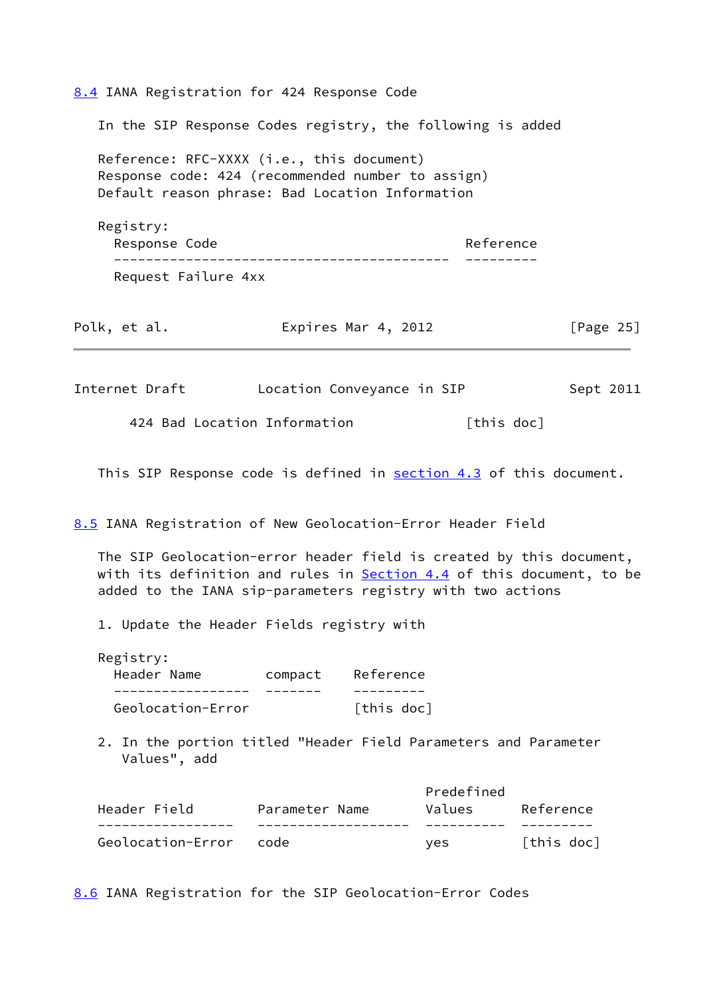<span id="page-29-1"></span><span id="page-29-0"></span>[8.4](#page-29-0) IANA Registration for 424 Response Code In the SIP Response Codes registry, the following is added Reference: RFC-XXXX (i.e., this document) Response code: 424 (recommended number to assign) Default reason phrase: Bad Location Information Registry: Response Code **Reference**  ------------------------------------------ --------- Request Failure 4xx Polk, et al. **Expires Mar 4, 2012** [Page 25] Internet Draft Location Conveyance in SIP Sept 2011 424 Bad Location Information [this doc] This SIP Response code is defined in [section 4.3](#page-14-0) of this document. [8.5](#page-29-3) IANA Registration of New Geolocation-Error Header Field The SIP Geolocation-error header field is created by this document, with its definition and rules in **Section 4.4** of this document, to be added to the IANA sip-parameters registry with two actions 1. Update the Header Fields registry with Registry: Header Name compact Reference ----------------- ------- --------- Geolocation-Error [this doc] 2. In the portion titled "Header Field Parameters and Parameter Values", add Predefined Header Field Parameter Name Values Reference ----------------- ------------------- ---------- ---------

<span id="page-29-2"></span>[8.6](#page-29-2) IANA Registration for the SIP Geolocation-Error Codes

<span id="page-29-3"></span>Geolocation-Error code  $yes$  [this doc]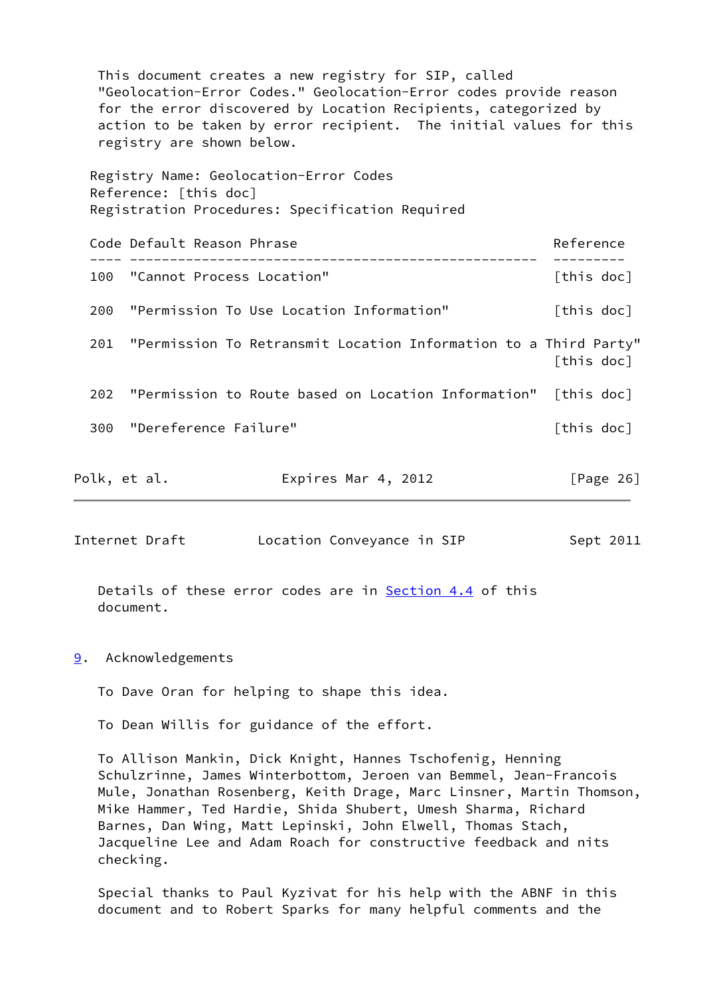This document creates a new registry for SIP, called "Geolocation-Error Codes." Geolocation-Error codes provide reason for the error discovered by Location Recipients, categorized by action to be taken by error recipient. The initial values for this registry are shown below. Registry Name: Geolocation-Error Codes Reference: [this doc] Registration Procedures: Specification Required Code Default Reason Phrase **Reference** Reference ---- --------------------------------------------------- --------- 100 "Cannot Process Location" [this doc] 200 "Permission To Use Location Information" [this doc] 201 "Permission To Retransmit Location Information to a Third Party" [this doc] 202 "Permission to Route based on Location Information" [this doc] 300 "Dereference Failure" and the state of this doc] Polk, et al. **Expires Mar 4, 2012** [Page 26]

<span id="page-30-1"></span>Internet Draft **Location Conveyance in SIP** Sept 2011

Details of these error codes are in **Section 4.4** of this document.

## <span id="page-30-0"></span>[9](#page-30-0). Acknowledgements

To Dave Oran for helping to shape this idea.

To Dean Willis for guidance of the effort.

 To Allison Mankin, Dick Knight, Hannes Tschofenig, Henning Schulzrinne, James Winterbottom, Jeroen van Bemmel, Jean-Francois Mule, Jonathan Rosenberg, Keith Drage, Marc Linsner, Martin Thomson, Mike Hammer, Ted Hardie, Shida Shubert, Umesh Sharma, Richard Barnes, Dan Wing, Matt Lepinski, John Elwell, Thomas Stach, Jacqueline Lee and Adam Roach for constructive feedback and nits checking.

 Special thanks to Paul Kyzivat for his help with the ABNF in this document and to Robert Sparks for many helpful comments and the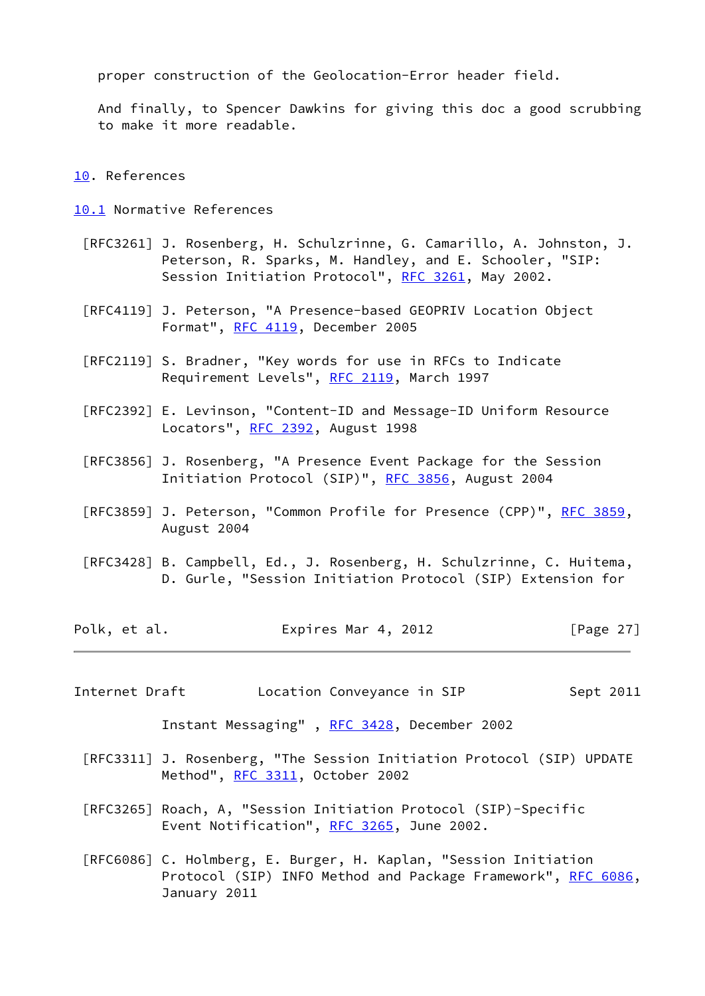proper construction of the Geolocation-Error header field.

 And finally, to Spencer Dawkins for giving this doc a good scrubbing to make it more readable.

<span id="page-31-0"></span>[10.](#page-31-0) References

<span id="page-31-1"></span>[10.1](#page-31-1) Normative References

- [RFC3261] J. Rosenberg, H. Schulzrinne, G. Camarillo, A. Johnston, J. Peterson, R. Sparks, M. Handley, and E. Schooler, "SIP: Session Initiation Protocol", [RFC 3261](https://datatracker.ietf.org/doc/pdf/rfc3261), May 2002.
- [RFC4119] J. Peterson, "A Presence-based GEOPRIV Location Object Format", [RFC 4119](https://datatracker.ietf.org/doc/pdf/rfc4119), December 2005
- [RFC2119] S. Bradner, "Key words for use in RFCs to Indicate Requirement Levels", [RFC 2119](https://datatracker.ietf.org/doc/pdf/rfc2119), March 1997
- [RFC2392] E. Levinson, "Content-ID and Message-ID Uniform Resource Locators", [RFC 2392,](https://datatracker.ietf.org/doc/pdf/rfc2392) August 1998
- [RFC3856] J. Rosenberg, "A Presence Event Package for the Session Initiation Protocol (SIP)", [RFC 3856,](https://datatracker.ietf.org/doc/pdf/rfc3856) August 2004
- [RFC3859] J. Peterson, "Common Profile for Presence (CPP)", [RFC 3859](https://datatracker.ietf.org/doc/pdf/rfc3859), August 2004
- [RFC3428] B. Campbell, Ed., J. Rosenberg, H. Schulzrinne, C. Huitema, D. Gurle, "Session Initiation Protocol (SIP) Extension for

Polk, et al. **Expires Mar 4, 2012** [Page 27]

<span id="page-31-2"></span>Internet Draft **Location Conveyance in SIP** Sept 2011

Instant Messaging" , [RFC 3428](https://datatracker.ietf.org/doc/pdf/rfc3428), December 2002

 [RFC3311] J. Rosenberg, "The Session Initiation Protocol (SIP) UPDATE Method", [RFC 3311](https://datatracker.ietf.org/doc/pdf/rfc3311), October 2002

 [RFC3265] Roach, A, "Session Initiation Protocol (SIP)-Specific Event Notification", [RFC 3265](https://datatracker.ietf.org/doc/pdf/rfc3265), June 2002.

 [RFC6086] C. Holmberg, E. Burger, H. Kaplan, "Session Initiation Protocol (SIP) INFO Method and Package Framework", [RFC 6086,](https://datatracker.ietf.org/doc/pdf/rfc6086) January 2011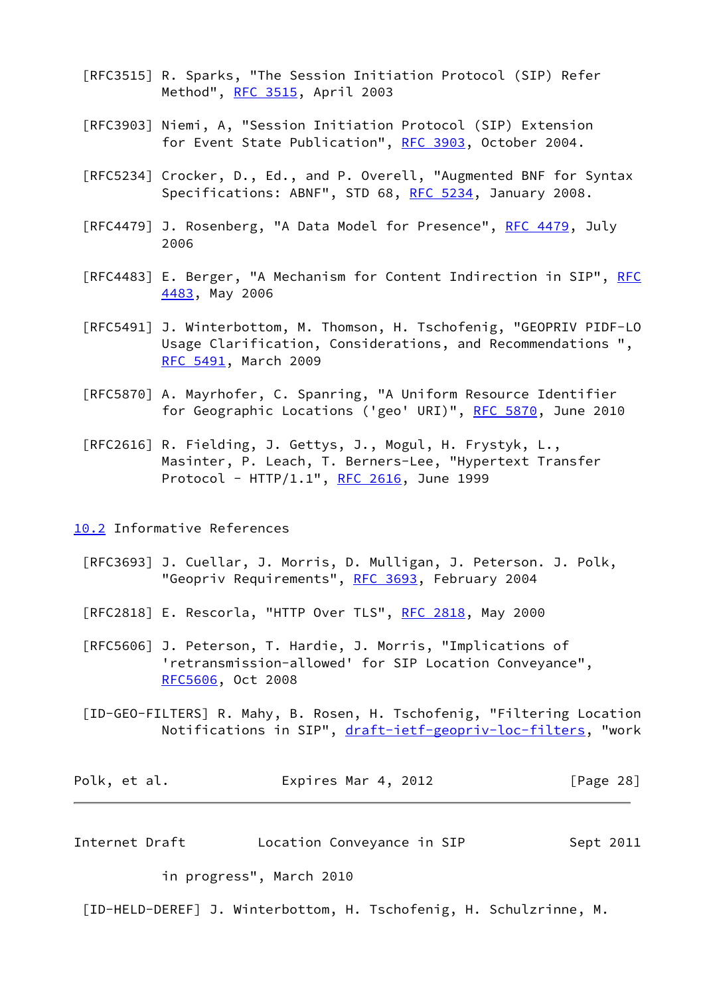- [RFC3515] R. Sparks, "The Session Initiation Protocol (SIP) Refer Method", [RFC 3515](https://datatracker.ietf.org/doc/pdf/rfc3515), April 2003
- [RFC3903] Niemi, A, "Session Initiation Protocol (SIP) Extension for Event State Publication", [RFC 3903](https://datatracker.ietf.org/doc/pdf/rfc3903), October 2004.
- [RFC5234] Crocker, D., Ed., and P. Overell, "Augmented BNF for Syntax Specifications: ABNF", STD 68, [RFC 5234,](https://datatracker.ietf.org/doc/pdf/rfc5234) January 2008.
- [RFC4479] J. Rosenberg, "A Data Model for Presence", [RFC 4479,](https://datatracker.ietf.org/doc/pdf/rfc4479) July 2006
- [RFC4483] E. Berger, "A Mechanism for Content Indirection in SIP", [RFC](https://datatracker.ietf.org/doc/pdf/rfc4483) [4483](https://datatracker.ietf.org/doc/pdf/rfc4483), May 2006
- [RFC5491] J. Winterbottom, M. Thomson, H. Tschofenig, "GEOPRIV PIDF-LO Usage Clarification, Considerations, and Recommendations ", [RFC 5491](https://datatracker.ietf.org/doc/pdf/rfc5491), March 2009
- [RFC5870] A. Mayrhofer, C. Spanring, "A Uniform Resource Identifier for Geographic Locations ('geo' URI)", [RFC 5870,](https://datatracker.ietf.org/doc/pdf/rfc5870) June 2010
- [RFC2616] R. Fielding, J. Gettys, J., Mogul, H. Frystyk, L., Masinter, P. Leach, T. Berners-Lee, "Hypertext Transfer Protocol - HTTP/1.1", [RFC 2616](https://datatracker.ietf.org/doc/pdf/rfc2616), June 1999

<span id="page-32-0"></span>[10.2](#page-32-0) Informative References

- [RFC3693] J. Cuellar, J. Morris, D. Mulligan, J. Peterson. J. Polk, "Geopriv Requirements", [RFC 3693](https://datatracker.ietf.org/doc/pdf/rfc3693), February 2004
- [RFC2818] E. Rescorla, "HTTP Over TLS", [RFC 2818](https://datatracker.ietf.org/doc/pdf/rfc2818), May 2000
- [RFC5606] J. Peterson, T. Hardie, J. Morris, "Implications of 'retransmission-allowed' for SIP Location Conveyance", [RFC5606](https://datatracker.ietf.org/doc/pdf/rfc5606), Oct 2008
- <span id="page-32-2"></span> [ID-GEO-FILTERS] R. Mahy, B. Rosen, H. Tschofenig, "Filtering Location Notifications in SIP", [draft-ietf-geopriv-loc-filters](https://datatracker.ietf.org/doc/pdf/draft-ietf-geopriv-loc-filters), "work

| Polk, et al. | Expires Mar 4, 2012 | [Page 28] |
|--------------|---------------------|-----------|
|--------------|---------------------|-----------|

<span id="page-32-1"></span>Internet Draft **Location Conveyance in SIP** Sept 2011

in progress", March 2010

<span id="page-32-3"></span>[ID-HELD-DEREF] J. Winterbottom, H. Tschofenig, H. Schulzrinne, M.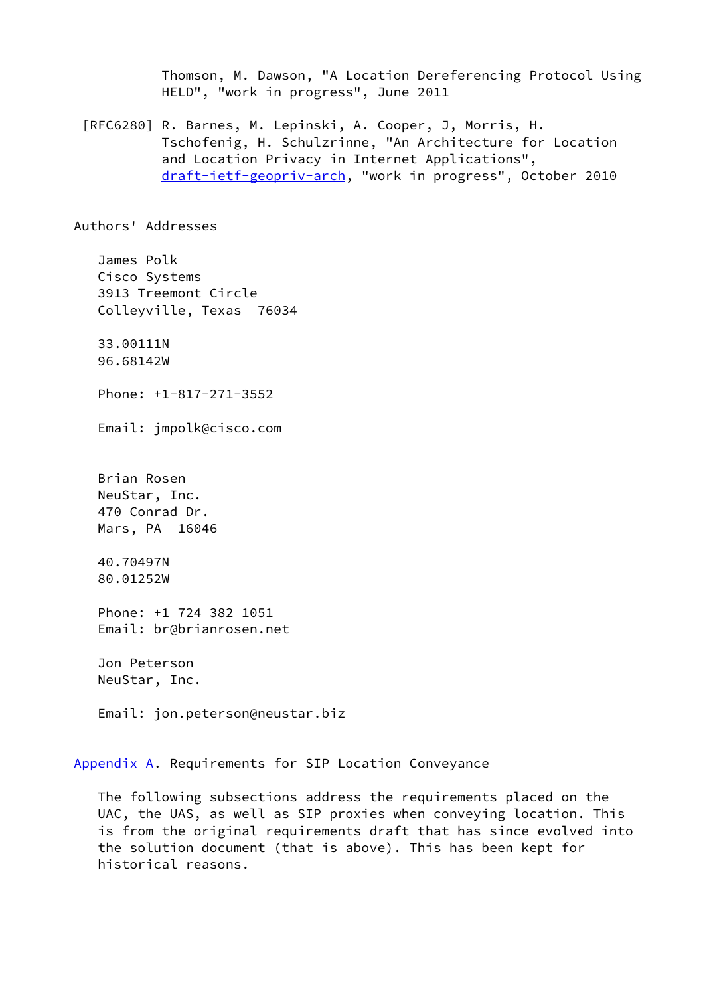Thomson, M. Dawson, "A Location Dereferencing Protocol Using HELD", "work in progress", June 2011

 [RFC6280] R. Barnes, M. Lepinski, A. Cooper, J, Morris, H. Tschofenig, H. Schulzrinne, "An Architecture for Location and Location Privacy in Internet Applications", [draft-ietf-geopriv-arch](https://datatracker.ietf.org/doc/pdf/draft-ietf-geopriv-arch), "work in progress", October 2010

Authors' Addresses

 James Polk Cisco Systems 3913 Treemont Circle Colleyville, Texas 76034

 33.00111N 96.68142W

Phone: +1-817-271-3552

Email: jmpolk@cisco.com

 Brian Rosen NeuStar, Inc. 470 Conrad Dr. Mars, PA 16046

 40.70497N 80.01252W

 Phone: +1 724 382 1051 Email: br@brianrosen.net

 Jon Peterson NeuStar, Inc.

Email: jon.peterson@neustar.biz

<span id="page-33-0"></span>[Appendix A.](#page-33-0) Requirements for SIP Location Conveyance

 The following subsections address the requirements placed on the UAC, the UAS, as well as SIP proxies when conveying location. This is from the original requirements draft that has since evolved into the solution document (that is above). This has been kept for historical reasons.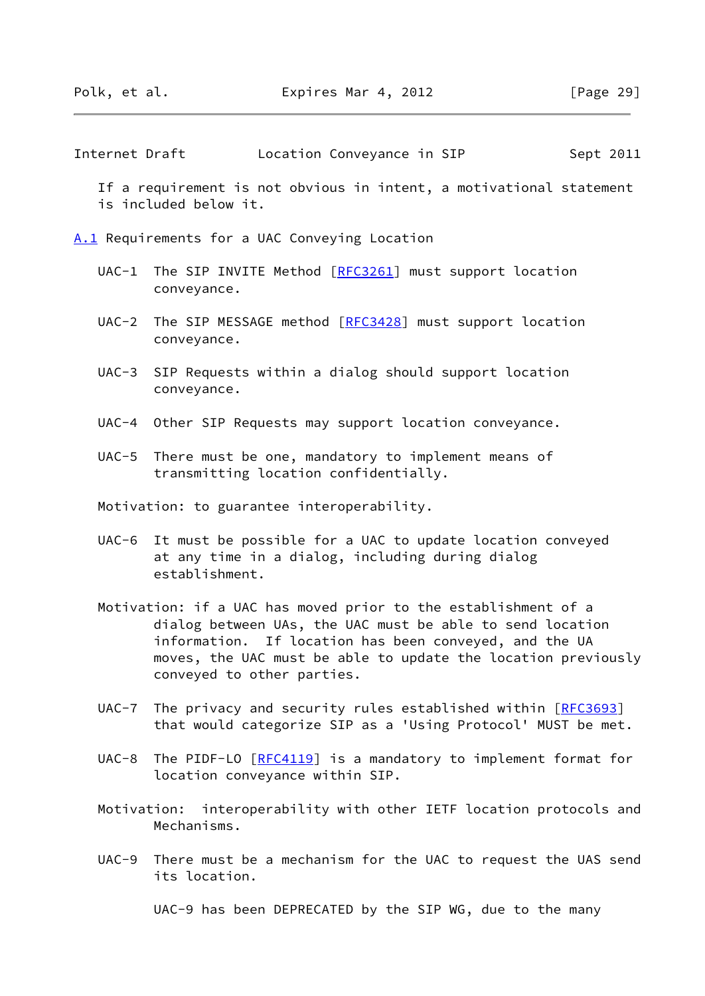Internet Draft Location Conveyance in SIP Sept 2011

 If a requirement is not obvious in intent, a motivational statement is included below it.

<span id="page-34-0"></span>[A.1](#page-34-0) Requirements for a UAC Conveying Location

- UAC-1 The SIP INVITE Method [\[RFC3261](https://datatracker.ietf.org/doc/pdf/rfc3261)] must support location conveyance.
- UAC-2 The SIP MESSAGE method [[RFC3428](https://datatracker.ietf.org/doc/pdf/rfc3428)] must support location conveyance.
- UAC-3 SIP Requests within a dialog should support location conveyance.
- UAC-4 Other SIP Requests may support location conveyance.
- UAC-5 There must be one, mandatory to implement means of transmitting location confidentially.

Motivation: to guarantee interoperability.

- UAC-6 It must be possible for a UAC to update location conveyed at any time in a dialog, including during dialog establishment.
- Motivation: if a UAC has moved prior to the establishment of a dialog between UAs, the UAC must be able to send location information. If location has been conveyed, and the UA moves, the UAC must be able to update the location previously conveyed to other parties.
- UAC-7 The privacy and security rules established within [\[RFC3693](https://datatracker.ietf.org/doc/pdf/rfc3693)] that would categorize SIP as a 'Using Protocol' MUST be met.
- UAC-8 The PIDF-LO [[RFC4119\]](https://datatracker.ietf.org/doc/pdf/rfc4119) is a mandatory to implement format for location conveyance within SIP.
- Motivation: interoperability with other IETF location protocols and Mechanisms.
- UAC-9 There must be a mechanism for the UAC to request the UAS send its location.

UAC-9 has been DEPRECATED by the SIP WG, due to the many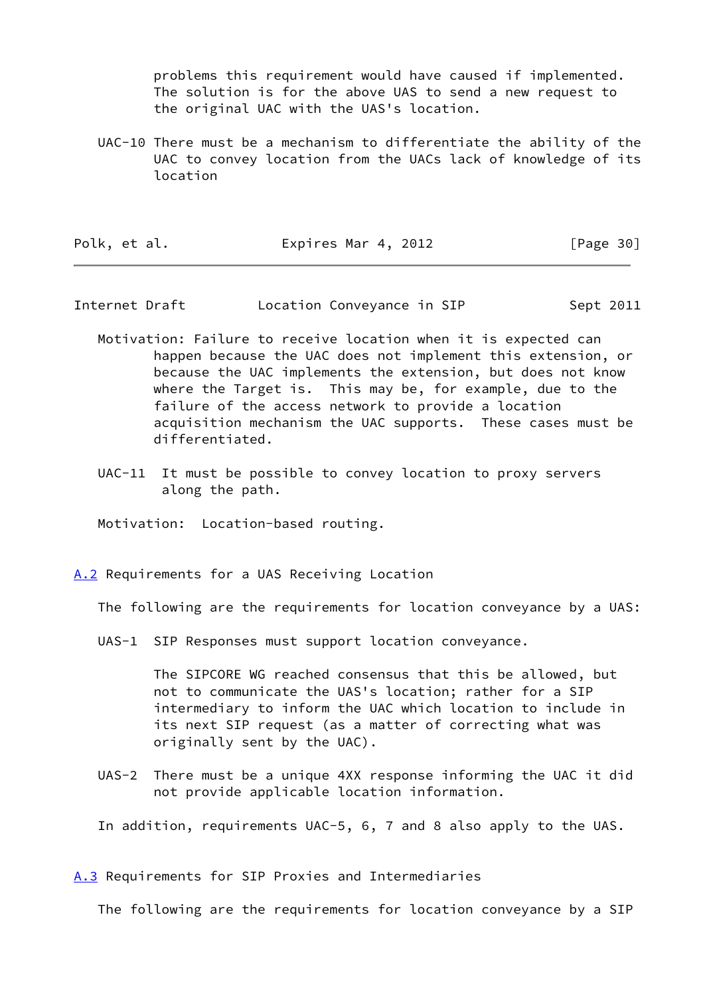problems this requirement would have caused if implemented. The solution is for the above UAS to send a new request to the original UAC with the UAS's location.

 UAC-10 There must be a mechanism to differentiate the ability of the UAC to convey location from the UACs lack of knowledge of its location

| Polk, et al. | Expires Mar 4, 2012 | [Page 30] |
|--------------|---------------------|-----------|
|--------------|---------------------|-----------|

Internet Draft **Location Conveyance in SIP** Sept 2011

- Motivation: Failure to receive location when it is expected can happen because the UAC does not implement this extension, or because the UAC implements the extension, but does not know where the Target is. This may be, for example, due to the failure of the access network to provide a location acquisition mechanism the UAC supports. These cases must be differentiated.
- UAC-11 It must be possible to convey location to proxy servers along the path.

Motivation: Location-based routing.

<span id="page-35-0"></span>[A.2](#page-35-0) Requirements for a UAS Receiving Location

The following are the requirements for location conveyance by a UAS:

UAS-1 SIP Responses must support location conveyance.

 The SIPCORE WG reached consensus that this be allowed, but not to communicate the UAS's location; rather for a SIP intermediary to inform the UAC which location to include in its next SIP request (as a matter of correcting what was originally sent by the UAC).

 UAS-2 There must be a unique 4XX response informing the UAC it did not provide applicable location information.

In addition, requirements UAC-5, 6, 7 and 8 also apply to the UAS.

<span id="page-35-1"></span>[A.3](#page-35-1) Requirements for SIP Proxies and Intermediaries

The following are the requirements for location conveyance by a SIP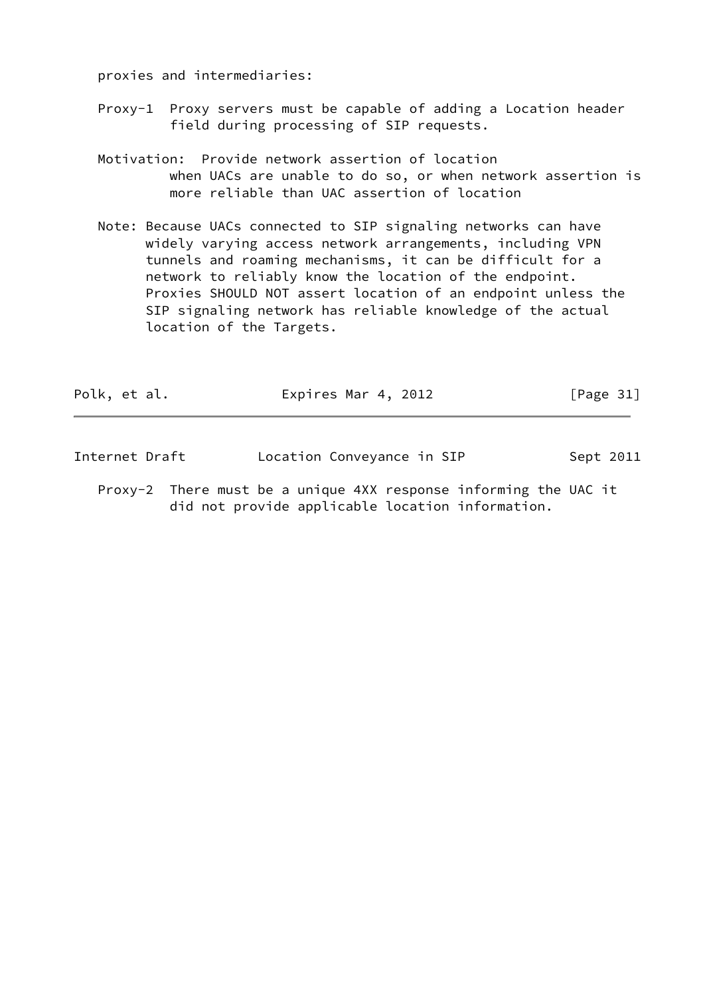proxies and intermediaries:

- Proxy-1 Proxy servers must be capable of adding a Location header field during processing of SIP requests.
- Motivation: Provide network assertion of location when UACs are unable to do so, or when network assertion is more reliable than UAC assertion of location
- Note: Because UACs connected to SIP signaling networks can have widely varying access network arrangements, including VPN tunnels and roaming mechanisms, it can be difficult for a network to reliably know the location of the endpoint. Proxies SHOULD NOT assert location of an endpoint unless the SIP signaling network has reliable knowledge of the actual location of the Targets.

| Polk, et al. | Expires Mar 4, 2012 | [Page $31$ ] |
|--------------|---------------------|--------------|
|              |                     |              |

| Internet Draft | Location Conveyance in SIP | Sept 2011 |
|----------------|----------------------------|-----------|
|----------------|----------------------------|-----------|

 Proxy-2 There must be a unique 4XX response informing the UAC it did not provide applicable location information.